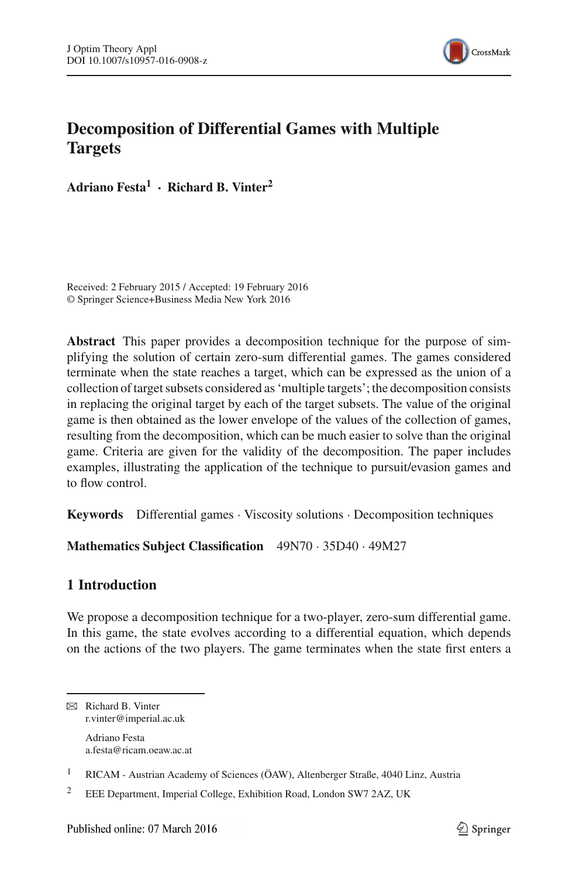

# **Decomposition of Differential Games with Multiple Targets**

**Adriano Festa1 · Richard B. Vinter<sup>2</sup>**

Received: 2 February 2015 / Accepted: 19 February 2016 © Springer Science+Business Media New York 2016

**Abstract** This paper provides a decomposition technique for the purpose of simplifying the solution of certain zero-sum differential games. The games considered terminate when the state reaches a target, which can be expressed as the union of a collection of target subsets considered as 'multiple targets'; the decomposition consists in replacing the original target by each of the target subsets. The value of the original game is then obtained as the lower envelope of the values of the collection of games, resulting from the decomposition, which can be much easier to solve than the original game. Criteria are given for the validity of the decomposition. The paper includes examples, illustrating the application of the technique to pursuit/evasion games and to flow control.

**Keywords** Differential games · Viscosity solutions · Decomposition techniques

**Mathematics Subject Classification** 49N70 · 35D40 · 49M27

# **1 Introduction**

We propose a decomposition technique for a two-player, zero-sum differential game. In this game, the state evolves according to a differential equation, which depends on the actions of the two players. The game terminates when the state first enters a

B Richard B. Vinter r.vinter@imperial.ac.uk Adriano Festa a.festa@ricam.oeaw.ac.at

<sup>1</sup> RICAM - Austrian Academy of Sciences (ÖAW), Altenberger Straße, 4040 Linz, Austria

<sup>&</sup>lt;sup>2</sup> EEE Department, Imperial College, Exhibition Road, London SW7 2AZ, UK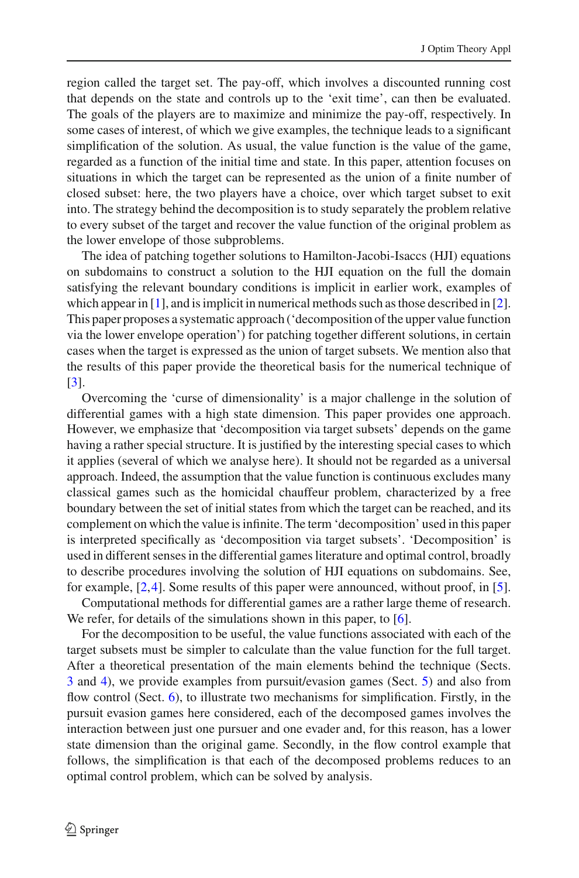region called the target set. The pay-off, which involves a discounted running cost that depends on the state and controls up to the 'exit time', can then be evaluated. The goals of the players are to maximize and minimize the pay-off, respectively. In some cases of interest, of which we give examples, the technique leads to a significant simplification of the solution. As usual, the value function is the value of the game, regarded as a function of the initial time and state. In this paper, attention focuses on situations in which the target can be represented as the union of a finite number of closed subset: here, the two players have a choice, over which target subset to exit into. The strategy behind the decomposition is to study separately the problem relative to every subset of the target and recover the value function of the original problem as the lower envelope of those subproblems.

The idea of patching together solutions to Hamilton-Jacobi-Isaccs (HJI) equations on subdomains to construct a solution to the HJI equation on the full the domain satisfying the relevant boundary conditions is implicit in earlier work, examples of which appear in  $[1]$  $[1]$ , and is implicit in numerical methods such as those described in  $[2]$  $[2]$ . This paper proposes a systematic approach ('decomposition of the upper value function via the lower envelope operation') for patching together different solutions, in certain cases when the target is expressed as the union of target subsets. We mention also that the results of this paper provide the theoretical basis for the numerical technique of [\[3](#page-26-2)].

Overcoming the 'curse of dimensionality' is a major challenge in the solution of differential games with a high state dimension. This paper provides one approach. However, we emphasize that 'decomposition via target subsets' depends on the game having a rather special structure. It is justified by the interesting special cases to which it applies (several of which we analyse here). It should not be regarded as a universal approach. Indeed, the assumption that the value function is continuous excludes many classical games such as the homicidal chauffeur problem, characterized by a free boundary between the set of initial states from which the target can be reached, and its complement on which the value is infinite. The term 'decomposition' used in this paper is interpreted specifically as 'decomposition via target subsets'. 'Decomposition' is used in different senses in the differential games literature and optimal control, broadly to describe procedures involving the solution of HJI equations on subdomains. See, for example, [\[2,](#page-26-1)[4\]](#page-26-3). Some results of this paper were announced, without proof, in [\[5](#page-26-4)].

Computational methods for differential games are a rather large theme of research. We refer, for details of the simulations shown in this paper, to [\[6\]](#page-26-5).

For the decomposition to be useful, the value functions associated with each of the target subsets must be simpler to calculate than the value function for the full target. After a theoretical presentation of the main elements behind the technique (Sects. [3](#page-3-0) and [4\)](#page-5-0), we provide examples from pursuit/evasion games (Sect. [5\)](#page-9-0) and also from flow control (Sect. [6\)](#page-19-0), to illustrate two mechanisms for simplification. Firstly, in the pursuit evasion games here considered, each of the decomposed games involves the interaction between just one pursuer and one evader and, for this reason, has a lower state dimension than the original game. Secondly, in the flow control example that follows, the simplification is that each of the decomposed problems reduces to an optimal control problem, which can be solved by analysis.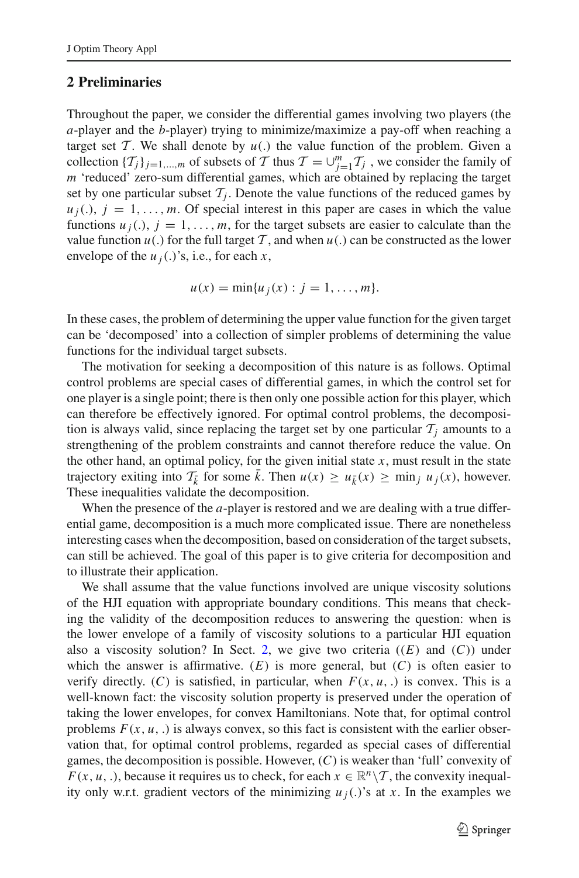# <span id="page-2-0"></span>**2 Preliminaries**

Throughout the paper, we consider the differential games involving two players (the *a*-player and the *b*-player) trying to minimize/maximize a pay-off when reaching a target set  $T$ . We shall denote by  $u(.)$  the value function of the problem. Given a collection  $\{T_j\}_{j=1,\dots,m}$  of subsets of *T* thus  $T = \bigcup_{j=1}^m T_j$ , we consider the family of *m* 'reduced' zero-sum differential games, which are obtained by replacing the target set by one particular subset  $T_i$ . Denote the value functions of the reduced games by  $u_i(.)$ ,  $j = 1, \ldots, m$ . Of special interest in this paper are cases in which the value functions  $u_j(.)$ ,  $j = 1, \ldots, m$ , for the target subsets are easier to calculate than the value function  $u(.)$  for the full target T, and when  $u(.)$  can be constructed as the lower envelope of the  $u_j(.)$ 's, i.e., for each  $x$ ,

$$
u(x)=\min\{u_j(x):j=1,\ldots,m\}.
$$

In these cases, the problem of determining the upper value function for the given target can be 'decomposed' into a collection of simpler problems of determining the value functions for the individual target subsets.

The motivation for seeking a decomposition of this nature is as follows. Optimal control problems are special cases of differential games, in which the control set for one player is a single point; there is then only one possible action for this player, which can therefore be effectively ignored. For optimal control problems, the decomposition is always valid, since replacing the target set by one particular  $\mathcal{T}_i$  amounts to a strengthening of the problem constraints and cannot therefore reduce the value. On the other hand, an optimal policy, for the given initial state  $x$ , must result in the state trajectory exiting into  $\mathcal{T}_{\bar{k}}$  for some  $\bar{k}$ . Then  $u(x) \geq u_{\bar{k}}(x) \geq \min_j u_j(x)$ , however. These inequalities validate the decomposition.

When the presence of the *a*-player is restored and we are dealing with a true differential game, decomposition is a much more complicated issue. There are nonetheless interesting cases when the decomposition, based on consideration of the target subsets, can still be achieved. The goal of this paper is to give criteria for decomposition and to illustrate their application.

We shall assume that the value functions involved are unique viscosity solutions of the HJI equation with appropriate boundary conditions. This means that checking the validity of the decomposition reduces to answering the question: when is the lower envelope of a family of viscosity solutions to a particular HJI equation also a viscosity solution? In Sect. [2,](#page-2-0) we give two criteria  $((E)$  and  $(C)$ ) under which the answer is affirmative.  $(E)$  is more general, but  $(C)$  is often easier to verify directly. (C) is satisfied, in particular, when  $F(x, u, \cdot)$  is convex. This is a well-known fact: the viscosity solution property is preserved under the operation of taking the lower envelopes, for convex Hamiltonians. Note that, for optimal control problems  $F(x, u, .)$  is always convex, so this fact is consistent with the earlier observation that, for optimal control problems, regarded as special cases of differential games, the decomposition is possible. However, (*C*) is weaker than 'full' convexity of *F*(*x*, *u*, .), because it requires us to check, for each  $x \in \mathbb{R}^n \setminus \mathcal{T}$ , the convexity inequality only w.r.t. gradient vectors of the minimizing  $u_j(.)$ 's at x. In the examples we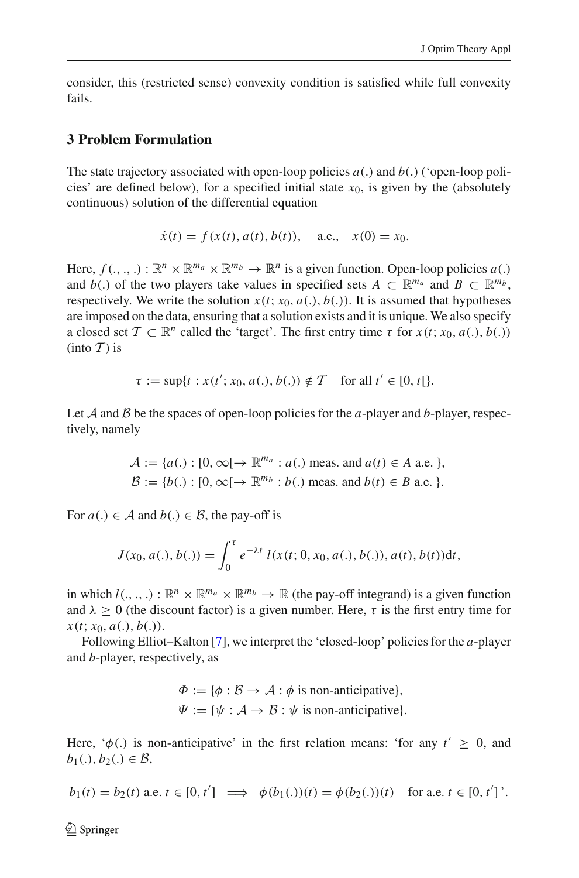consider, this (restricted sense) convexity condition is satisfied while full convexity fails.

### <span id="page-3-0"></span>**3 Problem Formulation**

The state trajectory associated with open-loop policies  $a(.)$  and  $b(.)$  ('open-loop policies' are defined below), for a specified initial state  $x_0$ , is given by the (absolutely continuous) solution of the differential equation

$$
\dot{x}(t) = f(x(t), a(t), b(t)),
$$
 a.e.,  $x(0) = x_0.$ 

Here,  $f(., ., .): \mathbb{R}^n \times \mathbb{R}^{m_a} \times \mathbb{R}^{m_b} \to \mathbb{R}^n$  is a given function. Open-loop policies  $a(.)$ and *b*(.) of the two players take values in specified sets  $A \subset \mathbb{R}^{m_a}$  and  $B \subset \mathbb{R}^{m_b}$ , respectively. We write the solution  $x(t; x_0, a(.), b(.)$ . It is assumed that hypotheses are imposed on the data, ensuring that a solution exists and it is unique. We also specify a closed set  $\mathcal{T} \subset \mathbb{R}^n$  called the 'target'. The first entry time  $\tau$  for  $x(t; x_0, a(.), b(.)$  $(into \mathcal{T})$  is

$$
\tau := \sup\{t : x(t'; x_0, a(.), b(.)) \notin \mathcal{T} \quad \text{for all } t' \in [0, t]\}.
$$

Let  $A$  and  $B$  be the spaces of open-loop policies for the  $a$ -player and  $b$ -player, respectively, namely

$$
\mathcal{A} := \{a(.) : [0, \infty[ \rightarrow \mathbb{R}^{m_a} : a(.) \text{ meas. and } a(t) \in A \text{ a.e. } \},
$$
  

$$
\mathcal{B} := \{b(.) : [0, \infty[ \rightarrow \mathbb{R}^{m_b} : b(.) \text{ meas. and } b(t) \in B \text{ a.e. } \}.
$$

For  $a(.) \in \mathcal{A}$  and  $b(.) \in \mathcal{B}$ , the pay-off is

$$
J(x_0, a(.), b(.)) = \int_0^{\tau} e^{-\lambda t} l(x(t; 0, x_0, a(.), b(.)), a(t), b(t)) dt,
$$

in which  $l(.,.,.) : \mathbb{R}^n \times \mathbb{R}^{m_a} \times \mathbb{R}^{m_b} \to \mathbb{R}$  (the pay-off integrand) is a given function and  $\lambda > 0$  (the discount factor) is a given number. Here,  $\tau$  is the first entry time for  $x(t; x_0, a(.), b(.)).$ 

Following Elliot–Kalton [\[7\]](#page-26-6), we interpret the 'closed-loop' policies for the *a*-player and *b*-player, respectively, as

$$
\Phi := \{ \phi : \mathcal{B} \to \mathcal{A} : \phi \text{ is non-anticipative} \},\
$$

$$
\Psi := \{ \psi : \mathcal{A} \to \mathcal{B} : \psi \text{ is non-anticipative} \}.
$$

Here,  $\phi(.)$  is non-anticipative' in the first relation means: 'for any  $t' \geq 0$ , and *b*<sub>1</sub>(.), *b*<sub>2</sub>(.) ∈ *B*,

$$
b_1(t) = b_2(t)
$$
 a.e.  $t \in [0, t'] \implies \phi(b_1(.))(t) = \phi(b_2(.))(t)$  for a.e.  $t \in [0, t']$ .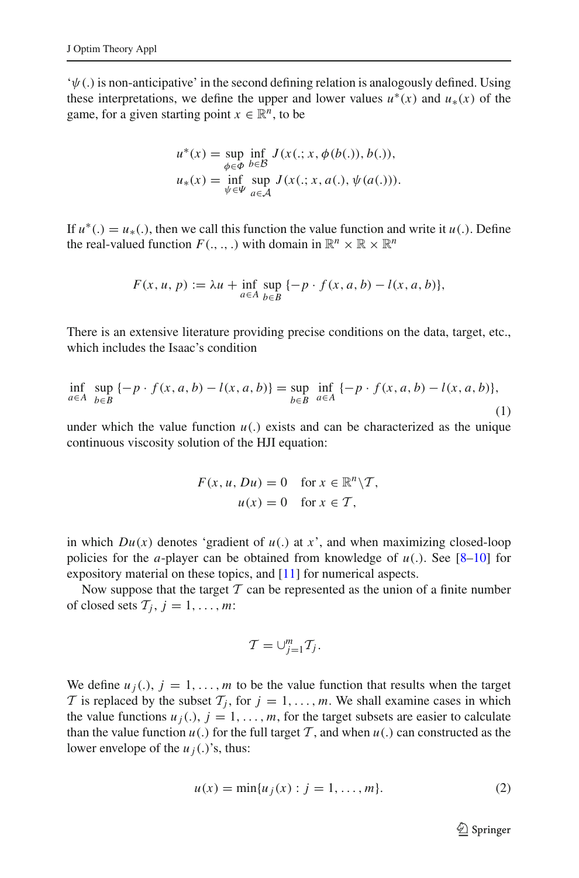$\psi(\cdot)$  is non-anticipative' in the second defining relation is analogously defined. Using these interpretations, we define the upper and lower values  $u^*(x)$  and  $u_*(x)$  of the game, for a given starting point  $x \in \mathbb{R}^n$ , to be

$$
u^*(x) = \sup_{\phi \in \Phi} \inf_{b \in \mathcal{B}} J(x(.; x, \phi(b(.)), b(.)),
$$
  

$$
u_*(x) = \inf_{\psi \in \Psi} \sup_{a \in \mathcal{A}} J(x(.; x, a(.), \psi(a(.))).
$$

If  $u^*(.) = u_*(.)$ , then we call this function the value function and write it  $u(.)$ . Define the real-valued function  $F(., ., .)$  with domain in  $\mathbb{R}^n \times \mathbb{R} \times \mathbb{R}^n$ 

$$
F(x, u, p) := \lambda u + \inf_{a \in A} \sup_{b \in B} \{-p \cdot f(x, a, b) - l(x, a, b)\},\
$$

There is an extensive literature providing precise conditions on the data, target, etc., which includes the Isaac's condition

<span id="page-4-0"></span>
$$
\inf_{a \in A} \sup_{b \in B} \{-p \cdot f(x, a, b) - l(x, a, b)\} = \sup_{b \in B} \inf_{a \in A} \{-p \cdot f(x, a, b) - l(x, a, b)\},\tag{1}
$$

under which the value function  $u(.)$  exists and can be characterized as the unique continuous viscosity solution of the HJI equation:

$$
F(x, u, Du) = 0 \quad \text{for } x \in \mathbb{R}^n \setminus T,
$$
  

$$
u(x) = 0 \quad \text{for } x \in T,
$$

in which  $Du(x)$  denotes 'gradient of  $u(.)$  at  $x$ ', and when maximizing closed-loop policies for the *a*-player can be obtained from knowledge of *u*(.). See [\[8](#page-26-7)[–10](#page-26-8)] for expository material on these topics, and [\[11\]](#page-26-9) for numerical aspects.

Now suppose that the target  $T$  can be represented as the union of a finite number of closed sets  $T_j$ ,  $j = 1, \ldots, m$ :

$$
\mathcal{T}=\cup_{j=1}^m \mathcal{T}_j.
$$

We define  $u_j(.)$ ,  $j = 1, \ldots, m$  to be the value function that results when the target *T* is replaced by the subset  $T_j$ , for  $j = 1, \ldots, m$ . We shall examine cases in which the value functions  $u_j(.)$ ,  $j = 1, \ldots, m$ , for the target subsets are easier to calculate than the value function  $u(.)$  for the full target  $T$ , and when  $u(.)$  can constructed as the lower envelope of the  $u_j(.)$ 's, thus:

$$
u(x) = \min\{u_j(x) : j = 1, ..., m\}.
$$
 (2)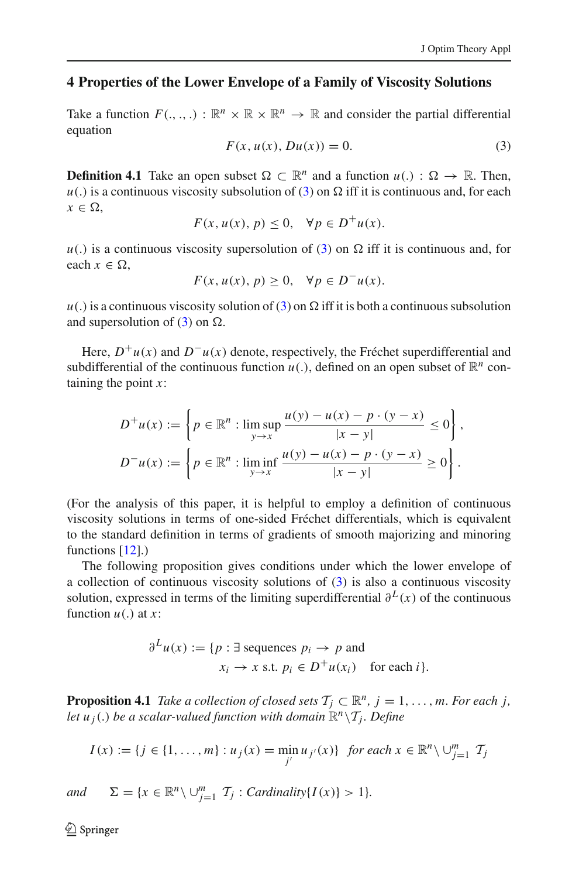## <span id="page-5-0"></span>**4 Properties of the Lower Envelope of a Family of Viscosity Solutions**

Take a function  $F(\ldots) : \mathbb{R}^n \times \mathbb{R} \times \mathbb{R}^n \to \mathbb{R}$  and consider the partial differential equation

$$
F(x, u(x), Du(x)) = 0.
$$
 (3)

<span id="page-5-1"></span>**Definition 4.1** Take an open subset  $\Omega \subset \mathbb{R}^n$  and a function  $u(.) : \Omega \to \mathbb{R}$ . Then,  $u(.)$  is a continuous viscosity subsolution of [\(3\)](#page-5-1) on  $\Omega$  iff it is continuous and, for each  $x \in \Omega$ .

$$
F(x, u(x), p) \le 0, \quad \forall p \in D^+u(x).
$$

 $u(.)$  is a continuous viscosity supersolution of [\(3\)](#page-5-1) on  $\Omega$  iff it is continuous and, for each  $x \in \Omega$ ,

$$
F(x, u(x), p) \ge 0, \quad \forall p \in D^{-}u(x).
$$

 $u(.)$  is a continuous viscosity solution of [\(3\)](#page-5-1) on  $\Omega$  iff it is both a continuous subsolution and supersolution of  $(3)$  on  $\Omega$ .

Here,  $D^+u(x)$  and  $D^-u(x)$  denote, respectively, the Fréchet superdifferential and subdifferential of the continuous function  $u(.)$ , defined on an open subset of  $\mathbb{R}^n$  containing the point *x*:

$$
D^+u(x) := \left\{ p \in \mathbb{R}^n : \limsup_{y \to x} \frac{u(y) - u(x) - p \cdot (y - x)}{|x - y|} \le 0 \right\},\
$$
  

$$
D^-u(x) := \left\{ p \in \mathbb{R}^n : \liminf_{y \to x} \frac{u(y) - u(x) - p \cdot (y - x)}{|x - y|} \ge 0 \right\}.
$$

(For the analysis of this paper, it is helpful to employ a definition of continuous viscosity solutions in terms of one-sided Fréchet differentials, which is equivalent to the standard definition in terms of gradients of smooth majorizing and minoring functions [\[12\]](#page-26-10).)

The following proposition gives conditions under which the lower envelope of a collection of continuous viscosity solutions of [\(3\)](#page-5-1) is also a continuous viscosity solution, expressed in terms of the limiting superdifferential  $\partial^L(x)$  of the continuous function *u*(.) at *x*:

$$
\partial^L u(x) := \{ p : \exists \text{ sequences } p_i \to p \text{ and } x_i \to x \text{ s.t. } p_i \in D^+ u(x_i) \text{ for each } i \}.
$$

<span id="page-5-2"></span>**Proposition 4.1** *Take a collection of closed sets*  $\mathcal{T}_j \subset \mathbb{R}^n$ ,  $j = 1, \ldots, m$ *. For each j, let*  $u_i(.)$  *be a scalar-valued function with domain*  $\mathbb{R}^n \setminus \mathcal{T}_i$ *. Define* 

$$
I(x) := \{ j \in \{1, \ldots, m\} : u_j(x) = \min_{j'} u_{j'}(x) \} \text{ for each } x \in \mathbb{R}^n \setminus \bigcup_{j=1}^m \mathcal{T}_j
$$

*and*  $\Sigma = \{x \in \mathbb{R}^n \setminus \bigcup_{j=1}^m T_j : \text{Cardinality}\{I(x)\} > 1\}.$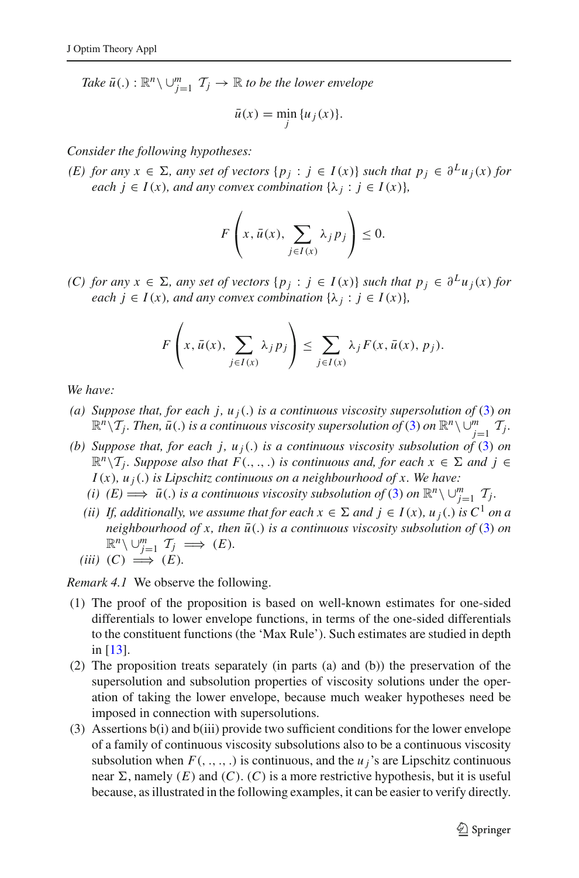*Take*  $\bar{u}(.) : \mathbb{R}^n \setminus \bigcup_{j=1}^m T_j \to \mathbb{R}$  to be the lower envelope

$$
\bar{u}(x) = \min_{j} \{u_j(x)\}.
$$

*Consider the following hypotheses:*

*(E) for any*  $x \in \Sigma$ , *any set of vectors*  $\{p_j : j \in I(x)\}$  *such that*  $p_j \in \partial^L u_j(x)$  *for each*  $i \in I(x)$ *, and any convex combination*  $\{\lambda_i : j \in I(x)\}$ *,* 

$$
F\left(x,\bar{u}(x),\sum_{j\in I(x)}\lambda_j p_j\right)\leq 0.
$$

*(C) for any*  $x \in \Sigma$ , *any set of vectors*  $\{p_j : j \in I(x)\}$  *such that*  $p_j \in \partial^L u_j(x)$  *for each*  $j \in I(x)$ *, and any convex combination*  $\{\lambda_j : j \in I(x)\}$ *,* 

$$
F\left(x,\bar{u}(x),\sum_{j\in I(x)}\lambda_j p_j\right)\leq \sum_{j\in I(x)}\lambda_j F(x,\bar{u}(x),p_j).
$$

*We have:*

- *(a) Suppose that, for each j, u<sub>j</sub>(.) is a continuous viscosity supersolution of* [\(3\)](#page-5-1) *on*  $\mathbb{R}^n\setminus\mathcal{T}_j$ *. Then,*  $\bar{u}(.)$  *is a continuous viscosity supersolution of* [\(3\)](#page-5-1) *on*  $\mathbb{R}^n\setminus\bigcup_{j=1}^m\mathcal{T}_j$ *.*
- *(b) Suppose that, for each j, u <sup>j</sup>*(.) *is a continuous viscosity subsolution of* [\(3\)](#page-5-1) *on*  $\mathbb{R}^n \setminus \mathcal{T}_j$ *. Suppose also that*  $F(.,.,.)$  *is continuous and, for each*  $x \in \Sigma$  *and*  $j \in$  $I(x)$ ,  $u_i(.)$  *is Lipschitz continuous on a neighbourhood of x. We have:* 
	- *(i)*  $(E) \implies \bar{u}(.)$  *is a continuous viscosity subsolution of* [\(3\)](#page-5-1) *on*  $\mathbb{R}^n \setminus \bigcup_{j=1}^m \mathcal{T}_j$ *.*
	- *(ii)* If, additionally, we assume that for each  $x \in \Sigma$  and  $j \in I(x)$ ,  $u_j(.)$  is  $C^1$  on a *neighbourhood of x, then*  $\bar{u}$ . *is a continuous viscosity subsolution of* [\(3\)](#page-5-1) *on*  $\mathbb{R}^n \setminus \cup_{j=1}^m T_j \implies (E).$

$$
(iii) (C) \implies (E).
$$

*Remark 4.1* We observe the following.

- (1) The proof of the proposition is based on well-known estimates for one-sided differentials to lower envelope functions, in terms of the one-sided differentials to the constituent functions (the 'Max Rule'). Such estimates are studied in depth in [\[13](#page-26-11)].
- (2) The proposition treats separately (in parts (a) and (b)) the preservation of the supersolution and subsolution properties of viscosity solutions under the operation of taking the lower envelope, because much weaker hypotheses need be imposed in connection with supersolutions.
- (3) Assertions b(i) and b(iii) provide two sufficient conditions for the lower envelope of a family of continuous viscosity subsolutions also to be a continuous viscosity subsolution when  $F($ , ., ., .) is continuous, and the  $u_j$ 's are Lipschitz continuous near  $\Sigma$ , namely  $(E)$  and  $(C)$ .  $(C)$  is a more restrictive hypothesis, but it is useful because, as illustrated in the following examples, it can be easier to verify directly.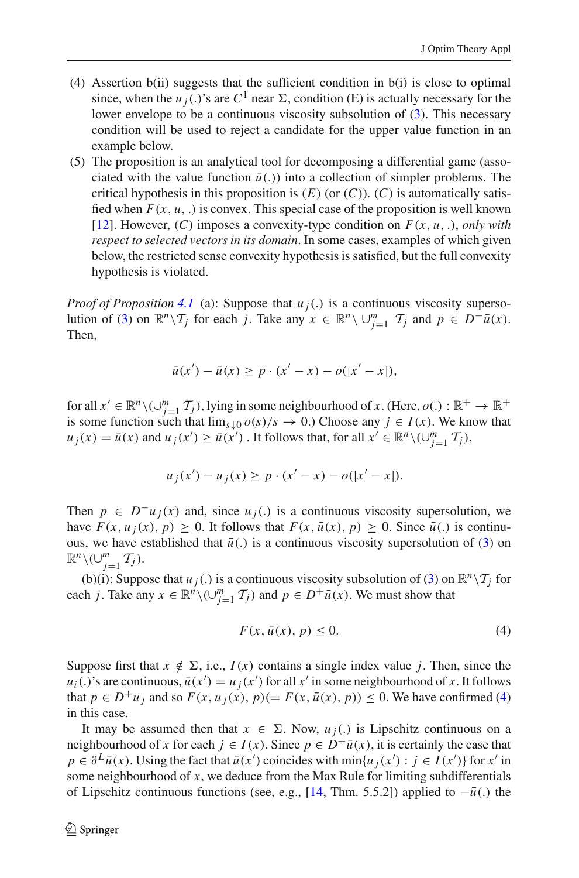- (4) Assertion b(ii) suggests that the sufficient condition in b(i) is close to optimal since, when the  $u_j(.)$ 's are  $C^1$  near  $\Sigma$ , condition (E) is actually necessary for the lower envelope to be a continuous viscosity subsolution of [\(3\)](#page-5-1). This necessary condition will be used to reject a candidate for the upper value function in an example below.
- (5) The proposition is an analytical tool for decomposing a differential game (associated with the value function  $\bar{u}$ .) into a collection of simpler problems. The critical hypothesis in this proposition is  $(E)$  (or  $(C)$ ).  $(C)$  is automatically satisfied when  $F(x, u, \cdot)$  is convex. This special case of the proposition is well known [\[12\]](#page-26-10). However, (*C*) imposes a convexity-type condition on *F*(*x*, *u*, .), *only with respect to selected vectors in its domain*. In some cases, examples of which given below, the restricted sense convexity hypothesis is satisfied, but the full convexity hypothesis is violated.

*Proof of Proposition* [4.1](#page-5-2) (a): Suppose that  $u_j(.)$  is a continuous viscosity superso-lution of [\(3\)](#page-5-1) on  $\mathbb{R}^n \setminus \mathcal{T}_j$  for each *j*. Take any  $x \in \mathbb{R}^n \setminus \cup_{j=1}^m \mathcal{T}_j$  and  $p \in D^- \bar{u}(x)$ . Then,

$$
\bar{u}(x') - \bar{u}(x) \ge p \cdot (x' - x) - o(|x' - x|),
$$

for all  $x' \in \mathbb{R}^n \setminus (\cup_{j=1}^m \mathcal{I}_j)$ , lying in some neighbourhood of *x*. (Here, *o*(.) :  $\mathbb{R}^+ \to \mathbb{R}^+$ is some function such that  $\lim_{s\downarrow 0} o(s)/s \to 0$ .) Choose any  $j \in I(x)$ . We know that  $u_j(x) = \bar{u}(x)$  and  $u_j(x') \ge \bar{u}(x')$ . It follows that, for all  $x' \in \mathbb{R}^n \setminus (\cup_{j=1}^m \mathcal{T}_j)$ ,

$$
u_j(x') - u_j(x) \ge p \cdot (x' - x) - o(|x' - x|).
$$

Then  $p \in D^-u_i(x)$  and, since  $u_i(.)$  is a continuous viscosity supersolution, we have  $F(x, u_i(x), p) \ge 0$ . It follows that  $F(x, \bar{u}(x), p) \ge 0$ . Since  $\bar{u}$ . is continuous, we have established that  $\bar{u}$ . is a continuous viscosity supersolution of [\(3\)](#page-5-1) on  $\mathbb{R}^n\setminus(\cup_{j=1}^m \mathcal{T}_j).$ 

(b)(i): Suppose that  $u_j(.)$  is a continuous viscosity subsolution of [\(3\)](#page-5-1) on  $\mathbb{R}^n \setminus \mathcal{T}_j$  for each *j*. Take any  $x \in \mathbb{R}^n \setminus (\bigcup_{j=1}^m \mathcal{T}_j)$  and  $p \in D^+ \bar{u}(x)$ . We must show that

$$
F(x, \bar{u}(x), p) \le 0. \tag{4}
$$

<span id="page-7-0"></span>Suppose first that  $x \notin \Sigma$ , i.e.,  $I(x)$  contains a single index value *j*. Then, since the  $u_i(.)$ 's are continuous,  $\bar{u}(x') = u_j(x')$  for all  $x'$  in some neighbourhood of  $x$ . It follows that  $p \in D^+u_j$  and so  $F(x, u_j(x), p)(= F(x, \bar{u}(x), p)) \leq 0$ . We have confirmed [\(4\)](#page-7-0) in this case.

It may be assumed then that  $x \in \Sigma$ . Now,  $u_j(.)$  is Lipschitz continuous on a neighbourhood of *x* for each  $j \in I(x)$ . Since  $p \in D^{\dagger} \bar{u}(x)$ , it is certainly the case that  $p \in \partial^L \bar{u}(x)$ . Using the fact that  $\bar{u}(x')$  coincides with  $\min\{u_j(x') : j \in I(x')\}$  for  $x'$  in some neighbourhood of *x*, we deduce from the Max Rule for limiting subdifferentials of Lipschitz continuous functions (see, e.g., [\[14](#page-26-12), Thm. 5.5.2]) applied to  $-\bar{u}$ .) the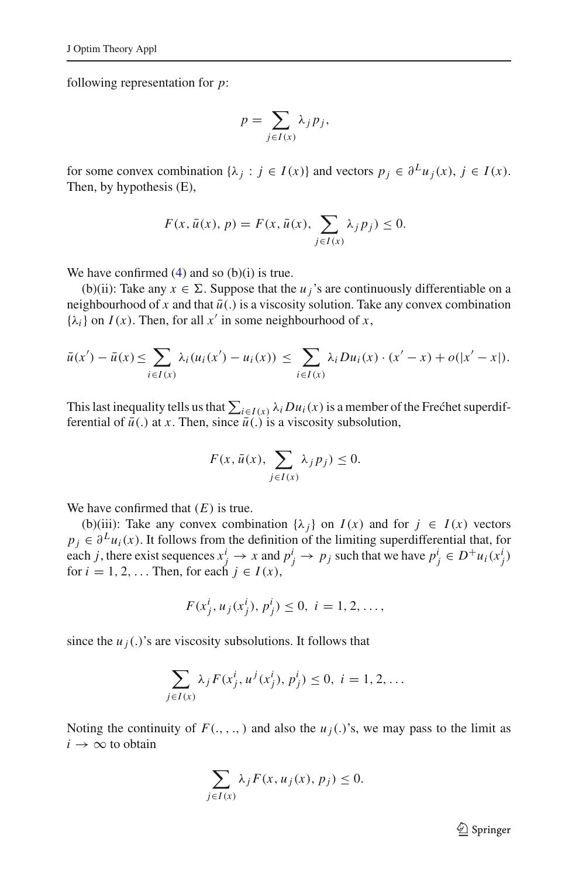following representation for *p*:

$$
p=\sum_{j\in I(x)}\lambda_j p_j,
$$

for some convex combination  $\{\lambda_j : j \in I(x)\}$  and vectors  $p_j \in \partial^L u_j(x)$ ,  $j \in I(x)$ . Then, by hypothesis (E),

$$
F(x, \bar{u}(x), p) = F(x, \bar{u}(x), \sum_{j \in I(x)} \lambda_j p_j) \le 0.
$$

We have confirmed  $(4)$  and so  $(b)(i)$  is true.

(b)(ii): Take any  $x \in \Sigma$ . Suppose that the *u<sub>j</sub>*'s are continuously differentiable on a neighbourhood of x and that  $\bar{u}$ . is a viscosity solution. Take any convex combination  $\{\lambda_i\}$  on *I*(*x*). Then, for all *x'* in some neighbourhood of *x*,

$$
\bar{u}(x') - \bar{u}(x) \le \sum_{i \in I(x)} \lambda_i (u_i(x') - u_i(x)) \le \sum_{i \in I(x)} \lambda_i D u_i(x) \cdot (x' - x) + o(|x' - x|).
$$

This last inequality tells us that  $\sum_{i \in I(x)} \lambda_i D u_i(x)$  is a member of the Frechet superdifferential of  $\bar{u}$ .) at *x*. Then, since  $\bar{u}$ .) is a viscosity subsolution,

$$
F(x, \bar{u}(x), \sum_{j \in I(x)} \lambda_j p_j) \le 0.
$$

We have confirmed that (*E*) is true.

(b)(iii): Take any convex combination  $\{\lambda_i\}$  on  $I(x)$  and for  $j \in I(x)$  vectors  $p_i \in \partial^L u_i(x)$ . It follows from the definition of the limiting superdifferential that, for each *j*, there exist sequences  $x_j^i \to x$  and  $p_j^i \to p_j$  such that we have  $p_j^i \in D^+u_i(x_j^i)$ for  $i = 1, 2, \ldots$  Then, for each  $j \in I(x)$ ,

$$
F(x_j^i, u_j(x_j^i), p_j^i) \le 0, \ i = 1, 2, \dots,
$$

since the  $u_j(.)$ 's are viscosity subsolutions. It follows that

$$
\sum_{j \in I(x)} \lambda_j F(x_j^i, u^j(x_j^i), p_j^i) \le 0, \ i = 1, 2, \dots
$$

Noting the continuity of  $F(., , . , )$  and also the  $u_j(.)$ 's, we may pass to the limit as  $i \rightarrow \infty$  to obtain

$$
\sum_{j \in I(x)} \lambda_j F(x, u_j(x), p_j) \le 0.
$$

 $\mathcal{D}$  Springer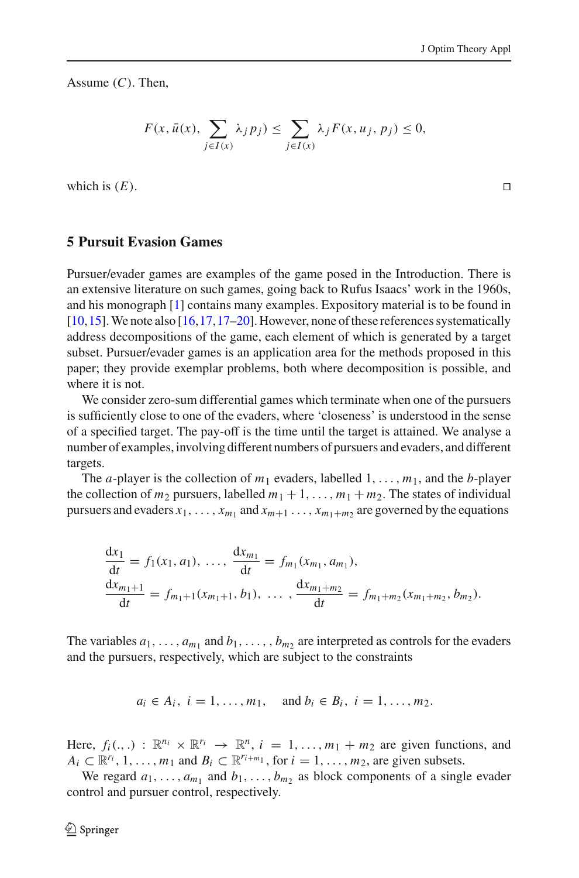Assume (*C*). Then,

$$
F(x, \bar{u}(x), \sum_{j \in I(x)} \lambda_j p_j) \le \sum_{j \in I(x)} \lambda_j F(x, u_j, p_j) \le 0,
$$

which is  $(E)$ .

#### <span id="page-9-0"></span>**5 Pursuit Evasion Games**

Pursuer/evader games are examples of the game posed in the Introduction. There is an extensive literature on such games, going back to Rufus Isaacs' work in the 1960s, and his monograph [\[1\]](#page-26-0) contains many examples. Expository material is to be found in [\[10](#page-26-8)[,15](#page-26-13)].We note also [\[16](#page-26-14),[17](#page-26-15),[17](#page-26-15)[–20\]](#page-27-0). However, none of these references systematically address decompositions of the game, each element of which is generated by a target subset. Pursuer/evader games is an application area for the methods proposed in this paper; they provide exemplar problems, both where decomposition is possible, and where it is not.

We consider zero-sum differential games which terminate when one of the pursuers is sufficiently close to one of the evaders, where 'closeness' is understood in the sense of a specified target. The pay-off is the time until the target is attained. We analyse a number of examples, involving different numbers of pursuers and evaders, and different targets.

The *a*-player is the collection of  $m_1$  evaders, labelled  $1, \ldots, m_1$ , and the *b*-player the collection of  $m_2$  pursuers, labelled  $m_1 + 1, \ldots, m_1 + m_2$ . The states of individual pursuers and evaders  $x_1, \ldots, x_{m_1}$  and  $x_{m+1}, \ldots, x_{m_1+m_2}$  are governed by the equations

$$
\frac{dx_1}{dt} = f_1(x_1, a_1), \dots, \frac{dx_{m_1}}{dt} = f_{m_1}(x_{m_1}, a_{m_1}), \n\frac{dx_{m_1+1}}{dt} = f_{m_1+1}(x_{m_1+1}, b_1), \dots, \frac{dx_{m_1+m_2}}{dt} = f_{m_1+m_2}(x_{m_1+m_2}, b_{m_2}).
$$

The variables  $a_1, \ldots, a_{m_1}$  and  $b_1, \ldots, b_{m_2}$  are interpreted as controls for the evaders and the pursuers, respectively, which are subject to the constraints

$$
a_i \in A_i, i = 1, ..., m_1, \text{ and } b_i \in B_i, i = 1, ..., m_2.
$$

Here,  $f_i(.,.) : \mathbb{R}^{n_i} \times \mathbb{R}^{r_i} \rightarrow \mathbb{R}^n$ ,  $i = 1, \ldots, m_1 + m_2$  are given functions, and  $A_i \subset \mathbb{R}^{r_i}, 1, \ldots, m_1$  and  $B_i \subset \mathbb{R}^{r_{i+m_1}}$ , for  $i = 1, \ldots, m_2$ , are given subsets.

We regard  $a_1, \ldots, a_{m_1}$  and  $b_1, \ldots, b_{m_2}$  as block components of a single evader control and pursuer control, respectively.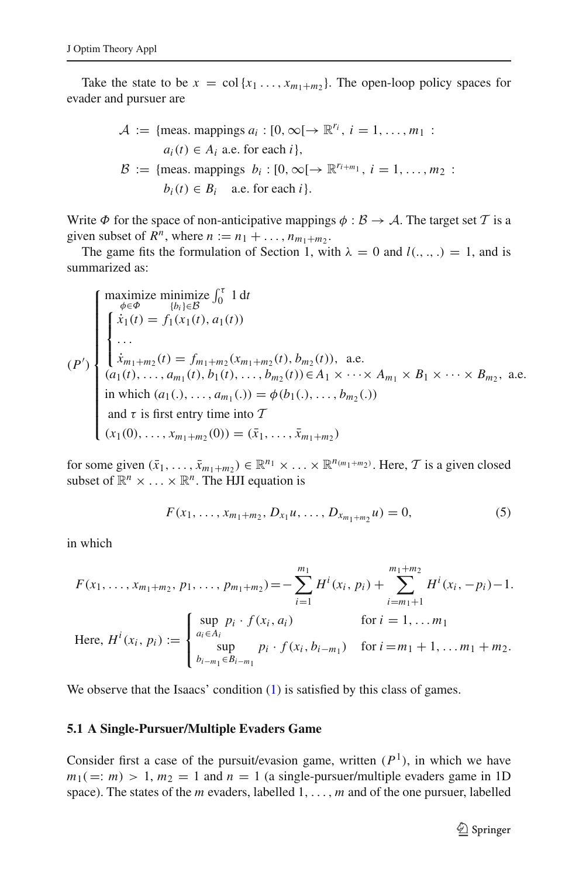Take the state to be  $x = \text{col}\{x_1, \ldots, x_{m_1+m_2}\}.$  The open-loop policy spaces for evader and pursuer are

$$
\mathcal{A} := \{\text{meas. mappings } a_i : [0, \infty[ \to \mathbb{R}^{r_i}, i = 1, ..., m_1 :
$$
  
\n
$$
a_i(t) \in A_i \text{ a.e. for each } i\},\
$$
  
\n
$$
\mathcal{B} := \{\text{meas. mappings } b_i : [0, \infty[ \to \mathbb{R}^{r_{i+m_1}}, i = 1, ..., m_2 :
$$
  
\n
$$
b_i(t) \in B_i \text{ a.e. for each } i\}.
$$

Write  $\Phi$  for the space of non-anticipative mappings  $\phi : \mathcal{B} \to \mathcal{A}$ . The target set  $\mathcal{T}$  is a given subset of  $R^n$ , where  $n := n_1 + \ldots, n_{m_1 + m_2}$ .

The game fits the formulation of Section 1, with  $\lambda = 0$  and  $l(.,.,.) = 1$ , and is summarized as:

$$
(P')\begin{cases}\n\maximize \minimize \int_0^{\tau} 1 dt \\
\hat{x}_1(t) = f_1(x_1(t), a_1(t)) \\
\vdots \\
\hat{x}_{m_1+m_2}(t) = f_{m_1+m_2}(x_{m_1+m_2}(t), b_{m_2}(t)), \text{ a.e.} \\
(a_1(t), \dots, a_{m_1}(t), b_1(t), \dots, b_{m_2}(t)) \in A_1 \times \dots \times A_{m_1} \times B_1 \times \dots \times B_{m_2}, \text{ a.e.} \\
\text{in which } (a_1(\cdot), \dots, a_{m_1}(\cdot)) = \phi(b_1(\cdot), \dots, b_{m_2}(\cdot)) \\
\text{and } \tau \text{ is first entry time into } \mathcal{T} \\
(x_1(0), \dots, x_{m_1+m_2}(0)) = (\bar{x}_1, \dots, \bar{x}_{m_1+m_2})\n\end{cases}
$$

for some given  $(\bar{x}_1, \ldots, \bar{x}_{m_1+m_2}) \in \mathbb{R}^{n_1} \times \ldots \times \mathbb{R}^{n_{(m_1+m_2)}}$ . Here,  $\mathcal T$  is a given closed subset of  $\mathbb{R}^n \times \ldots \times \mathbb{R}^n$ . The HJI equation is

$$
F(x_1, \ldots, x_{m_1+m_2}, D_{x_1}u, \ldots, D_{x_{m_1+m_2}}u) = 0,
$$
\n(5)

<span id="page-10-0"></span>in which

$$
F(x_1, ..., x_{m_1+m_2}, p_1, ..., p_{m_1+m_2}) = -\sum_{i=1}^{m_1} H^i(x_i, p_i) + \sum_{i=m_1+1}^{m_1+m_2} H^i(x_i, -p_i) - 1.
$$
  
Here,  $H^i(x_i, p_i) := \begin{cases} \sup_{a_i \in A_i} p_i \cdot f(x_i, a_i) & \text{for } i = 1, ..., m_1 \\ \sup_{b_i - m_1 \in B_{i-m_1}} p_i \cdot f(x_i, b_{i-m_1}) & \text{for } i = m_1 + 1, ..., m_1 + m_2. \end{cases}$ 

We observe that the Isaacs' condition [\(1\)](#page-4-0) is satisfied by this class of games.

#### **5.1 A Single-Pursuer/Multiple Evaders Game**

Consider first a case of the pursuit/evasion game, written  $(P<sup>1</sup>)$ , in which we have  $m_1(=: m) > 1, m_2 = 1$  and  $n = 1$  (a single-pursuer/multiple evaders game in 1D space). The states of the *m* evaders, labelled 1,..., *m* and of the one pursuer, labelled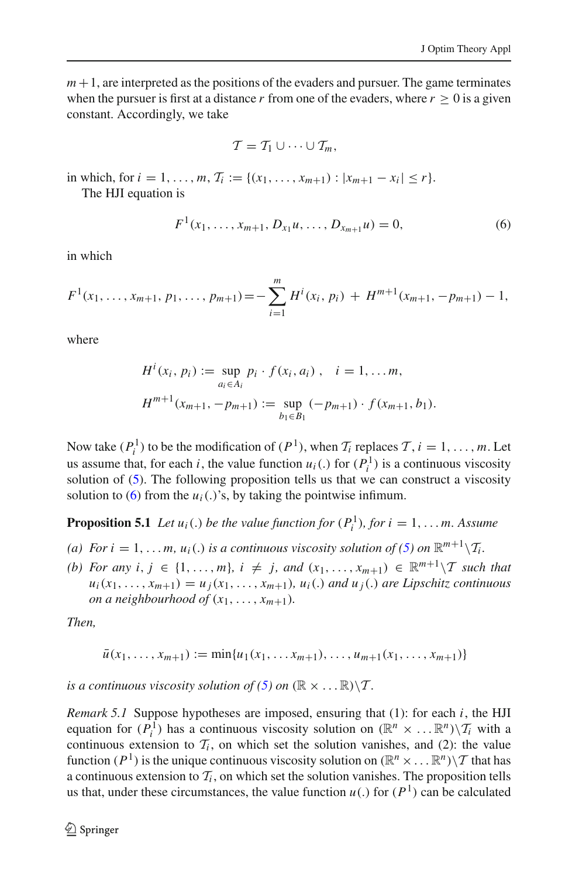$m+1$ , are interpreted as the positions of the evaders and pursuer. The game terminates when the pursuer is first at a distance *r* from one of the evaders, where  $r \geq 0$  is a given constant. Accordingly, we take

$$
\mathcal{T}=\mathcal{T}_1\cup\cdots\cup\mathcal{T}_m,
$$

in which, for  $i = 1, \ldots, m$ ,  $\mathcal{T}_i := \{(x_1, \ldots, x_{m+1}) : |x_{m+1} - x_i| \leq r\}.$ 

<span id="page-11-0"></span>The HJI equation is

$$
F^{1}(x_{1},...,x_{m+1}, D_{x_{1}}u, ..., D_{x_{m+1}}u) = 0,
$$
\n(6)

in which

$$
F^{1}(x_{1},...,x_{m+1}, p_{1},..., p_{m+1}) = -\sum_{i=1}^{m} H^{i}(x_{i}, p_{i}) + H^{m+1}(x_{m+1}, -p_{m+1}) - 1,
$$

where

$$
H^{i}(x_{i}, p_{i}) := \sup_{a_{i} \in A_{i}} p_{i} \cdot f(x_{i}, a_{i}), \quad i = 1, ..., m,
$$
  

$$
H^{m+1}(x_{m+1}, -p_{m+1}) := \sup_{b_{1} \in B_{1}} (-p_{m+1}) \cdot f(x_{m+1}, b_{1}).
$$

Now take  $(P_i^1)$  to be the modification of  $(P^1)$ , when  $T_i$  replaces  $T, i = 1, \ldots, m$ . Let us assume that, for each *i*, the value function  $u_i(.)$  for  $(P_i^1)$  is a continuous viscosity solution of  $(5)$ . The following proposition tells us that we can construct a viscosity solution to  $(6)$  from the  $u_i(.)'$ 's, by taking the pointwise infimum.

<span id="page-11-1"></span>**Proposition 5.1** *Let*  $u_i(.)$  *be the value function for*  $(P_i^1)$ *, for*  $i = 1, \ldots m$ *. Assume* 

- *(a) For i* = 1, ... *m*,  $u_i(.)$  *is a continuous viscosity solution of [\(5\)](#page-10-0) on*  $\mathbb{R}^{m+1}\setminus\mathcal{T}_i$ .
- *(b)* For any *i*, *j* ∈ {1, ..., *m*}*, i*  $\neq$  *j*, and  $(x_1, ..., x_{m+1})$  ∈  $\mathbb{R}^{m+1}\setminus T$  *such that*  $u_i(x_1,\ldots,x_{m+1}) = u_i(x_1,\ldots,x_{m+1}), u_i(.)$  and  $u_i(.)$  are Lipschitz continuous *on a neighbourhood of*  $(x_1, \ldots, x_{m+1})$ *.*

*Then,*

$$
\bar{u}(x_1,\ldots,x_{m+1}) := \min\{u_1(x_1,\ldots,x_{m+1}),\ldots,u_{m+1}(x_1,\ldots,x_{m+1})\}
$$

*is a continuous viscosity solution of* [\(5\)](#page-10-0) *on*  $(\mathbb{R} \times \dots \mathbb{R}) \setminus \mathcal{T}$ .

*Remark 5.1* Suppose hypotheses are imposed, ensuring that (1): for each *i*, the HJI equation for  $(P_i^{\mathsf{T}})$  has a continuous viscosity solution on  $(\mathbb{R}^n \times ... \mathbb{R}^n) \setminus \mathcal{T}_i$  with a continuous extension to  $\mathcal{T}_i$ , on which set the solution vanishes, and (2): the value function  $(P^1)$  is the unique continuous viscosity solution on  $(\mathbb{R}^n \times \dots \mathbb{R}^n)\setminus \mathcal{T}$  that has a continuous extension to  $\mathcal{T}_i$ , on which set the solution vanishes. The proposition tells us that, under these circumstances, the value function  $u(.)$  for  $(P<sup>1</sup>)$  can be calculated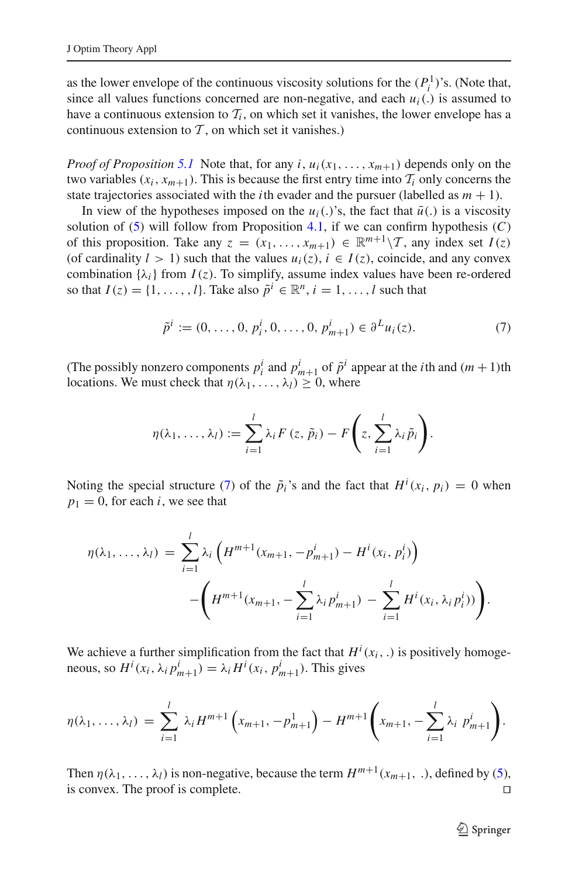as the lower envelope of the continuous viscosity solutions for the  $(P_i^1)$ 's. (Note that, since all values functions concerned are non-negative, and each  $u_i$ . is assumed to have a continuous extension to  $\mathcal{T}_i$ , on which set it vanishes, the lower envelope has a continuous extension to  $\mathcal T$ , on which set it vanishes.)

*Proof of Proposition* [5.1](#page-11-1) Note that, for any *i*,  $u_i(x_1,...,x_{m+1})$  depends only on the two variables  $(x_i, x_{m+1})$ . This is because the first entry time into  $T_i$  only concerns the state trajectories associated with the *i*th evader and the pursuer (labelled as  $m + 1$ ).

In view of the hypotheses imposed on the  $u_i(.)$ 's, the fact that  $\bar{u}(.)$  is a viscosity solution of  $(5)$  will follow from Proposition [4.1,](#page-5-2) if we can confirm hypothesis  $(C)$ of this proposition. Take any  $z = (x_1, \ldots, x_{m+1}) \in \mathbb{R}^{m+1}\setminus\mathcal{T}$ , any index set  $I(z)$ (of cardinality  $l > 1$ ) such that the values  $u_i(z)$ ,  $i \in I(z)$ , coincide, and any convex combination  $\{\lambda_i\}$  from  $I(z)$ . To simplify, assume index values have been re-ordered so that  $I(z) = \{1, \ldots, l\}$ . Take also  $\tilde{p}^i \in \mathbb{R}^n, i = 1, \ldots, l$  such that

$$
\tilde{p}^i := (0, \dots, 0, p_i^i, 0, \dots, 0, p_{m+1}^i) \in \partial^L u_i(z).
$$
\n(7)

<span id="page-12-0"></span>(The possibly nonzero components  $p_i^i$  and  $p_{m+1}^i$  of  $\tilde{p}^i$  appear at the *i*<sup>th</sup> and  $(m+1)$ <sup>th</sup> locations. We must check that  $\eta(\lambda_1,\ldots,\lambda_l) \geq 0$ , where

$$
\eta(\lambda_1,\ldots,\lambda_l):=\sum_{i=1}^l\lambda_i F(z,\tilde{p}_i)-F\left(z,\sum_{i=1}^l\lambda_i\tilde{p}_i\right).
$$

Noting the special structure [\(7\)](#page-12-0) of the  $\tilde{p}_i$ 's and the fact that  $H^i(x_i, p_i) = 0$  when  $p_1 = 0$ , for each *i*, we see that

$$
\eta(\lambda_1, ..., \lambda_l) = \sum_{i=1}^l \lambda_i \left( H^{m+1}(x_{m+1}, -p_{m+1}^i) - H^i(x_i, p_i^i) \right) - \left( H^{m+1}(x_{m+1}, -\sum_{i=1}^l \lambda_i p_{m+1}^i) - \sum_{i=1}^l H^i(x_i, \lambda_i p_i^i) \right).
$$

We achieve a further simplification from the fact that  $H^i(x_i, .)$  is positively homogeneous, so  $H^i(x_i, \lambda_i p_{m+1}^i) = \lambda_i H^i(x_i, p_{m+1}^i)$ . This gives

$$
\eta(\lambda_1,\ldots,\lambda_l) = \sum_{i=1}^l \lambda_i H^{m+1}\left(x_{m+1},-p_{m+1}^1\right) - H^{m+1}\left(x_{m+1},-\sum_{i=1}^l \lambda_i p_{m+1}^i\right).
$$

Then  $\eta(\lambda_1, ..., \lambda_l)$  is non-negative, because the term  $H^{m+1}(x_{m+1}, ...)$ , defined by [\(5\)](#page-10-0), is convex. The proof is complete. is convex. The proof is complete.

<sup>2</sup> Springer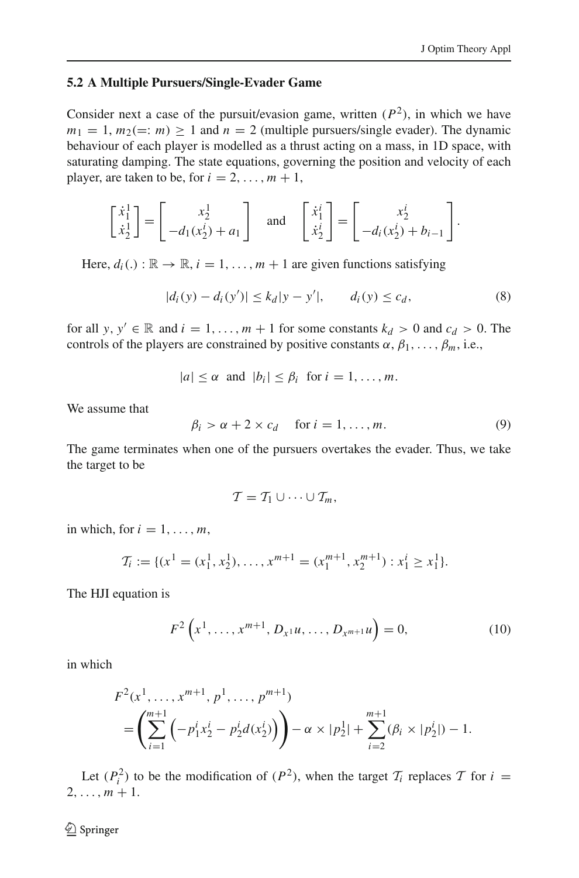#### **5.2 A Multiple Pursuers/Single-Evader Game**

Consider next a case of the pursuit/evasion game, written  $(P^2)$ , in which we have  $m_1 = 1$ ,  $m_2 (=: m) > 1$  and  $n = 2$  (multiple pursuers/single evader). The dynamic behaviour of each player is modelled as a thrust acting on a mass, in 1D space, with saturating damping. The state equations, governing the position and velocity of each player, are taken to be, for  $i = 2, \ldots, m + 1$ ,

$$
\begin{bmatrix} \dot{x}_1^1 \\ \dot{x}_2^1 \end{bmatrix} = \begin{bmatrix} x_2^1 \\ -d_1(x_2^i) + a_1 \end{bmatrix} \text{ and } \begin{bmatrix} \dot{x}_1^i \\ \dot{x}_2^i \end{bmatrix} = \begin{bmatrix} x_2^i \\ -d_i(x_2^i) + b_{i-1} \end{bmatrix}.
$$

<span id="page-13-1"></span>Here,  $d_i(.) : \mathbb{R} \to \mathbb{R}$ ,  $i = 1, \ldots, m + 1$  are given functions satisfying

$$
|d_i(y) - d_i(y')| \le k_d |y - y'|, \qquad d_i(y) \le c_d,
$$
\n(8)

for all *y*,  $y' \in \mathbb{R}$  and  $i = 1, \ldots, m + 1$  for some constants  $k_d > 0$  and  $c_d > 0$ . The controls of the players are constrained by positive constants  $\alpha$ ,  $\beta_1$ , ...,  $\beta_m$ , i.e.,

$$
|a| \leq \alpha \text{ and } |b_i| \leq \beta_i \text{ for } i = 1, \ldots, m.
$$

<span id="page-13-2"></span>We assume that

$$
\beta_i > \alpha + 2 \times c_d \quad \text{for } i = 1, \dots, m. \tag{9}
$$

The game terminates when one of the pursuers overtakes the evader. Thus, we take the target to be

$$
\mathcal{T}=\mathcal{T}_1\cup\cdots\cup\mathcal{T}_m,
$$

in which, for  $i = 1, \ldots, m$ ,

$$
\mathcal{T}_i := \{ (x^1 = (x_1^1, x_2^1), \dots, x^{m+1} = (x_1^{m+1}, x_2^{m+1}) : x_1^i \ge x_1^1 \}.
$$

The HJI equation is

$$
F^{2}\left(x^{1}, \ldots, x^{m+1}, D_{x^{1}}u, \ldots, D_{x^{m+1}}u\right) = 0, \qquad (10)
$$

<span id="page-13-0"></span>in which

$$
F^{2}(x^{1},...,x^{m+1}, p^{1},..., p^{m+1})
$$
  
=  $\left(\sum_{i=1}^{m+1} \left(-p_{1}^{i}x_{2}^{i}-p_{2}^{i}d(x_{2}^{i})\right)\right)-\alpha \times |p_{2}^{1}|+\sum_{i=2}^{m+1} (\beta_{i} \times |p_{2}^{i}|)-1.$ 

Let  $(P_i^2)$  to be the modification of  $(P^2)$ , when the target  $T_i$  replaces  $T$  for  $i =$  $2, \ldots, m+1.$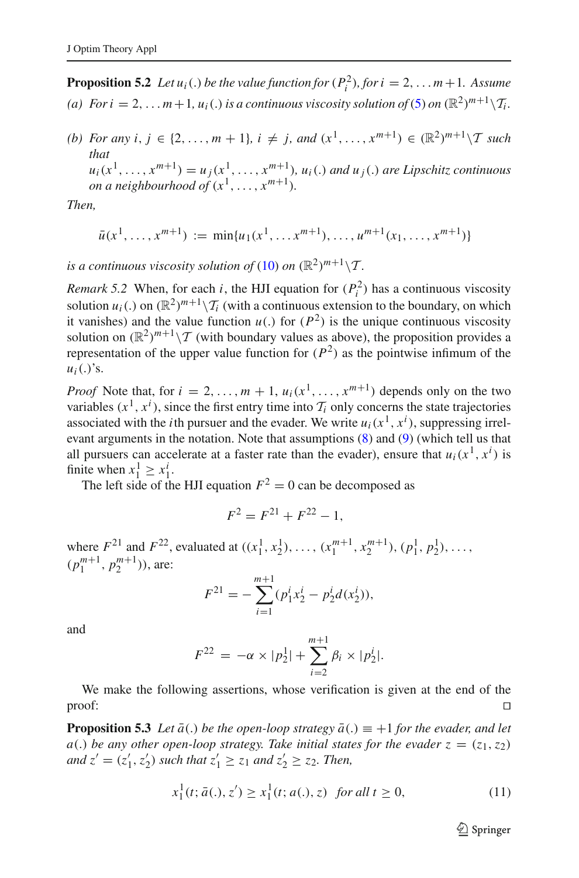**Proposition 5.2** *Let*  $u_i(.)$  *be the value function for*  $(P_i^2)$ *, for*  $i = 2, ..., m + 1$ *. Assume (a) For i* = 2, ... *m* + 1*, u<sub>i</sub>*(.*) is a continuous viscosity solution of* [\(5\)](#page-10-0) *on*  $(\mathbb{R}^2)^{m+1}\setminus\mathcal{T}_i$ *.* 

*(b)* For any *i*, *j* ∈ {2,..., *m* + 1}, *i*  $\neq$  *j*, and  $(x^1, ..., x^{m+1})$  ∈  $(\mathbb{R}^2)^{m+1}\setminus T$  *such that*  $u_i(x^1,\ldots,x^{m+1}) = u_j(x^1,\ldots,x^{m+1}), u_i(.)$  and  $u_j(.)$  are Lipschitz continuous *on a neighbourhood of*  $(x^1, \ldots, x^{m+1})$ *.* 

*Then,*

$$
\bar{u}(x^1, \ldots, x^{m+1}) := \min\{u_1(x^1, \ldots, x^{m+1}), \ldots, u^{m+1}(x_1, \ldots, x^{m+1})\}
$$

*is a continuous viscosity solution of* [\(10\)](#page-13-0) *on*  $(\mathbb{R}^2)^{m+1}\setminus \mathcal{T}$ .

*Remark 5.2* When, for each *i*, the HJI equation for  $(P_i^2)$  has a continuous viscosity solution  $u_i(.)$  on  $(\mathbb{R}^2)^{m+1}\setminus \mathcal{T}_i$  (with a continuous extension to the boundary, on which it vanishes) and the value function  $u(.)$  for  $(P^2)$  is the unique continuous viscosity solution on  $(\mathbb{R}^2)^{m+1}\setminus \mathcal{T}$  (with boundary values as above), the proposition provides a representation of the upper value function for  $(P^2)$  as the pointwise infimum of the  $u_i(.)$ 's.

*Proof* Note that, for  $i = 2, \ldots, m + 1, u_i(x^1, \ldots, x^{m+1})$  depends only on the two variables  $(x^1, x^i)$ , since the first entry time into  $\mathcal{T}_i$  only concerns the state trajectories associated with the *i*th pursuer and the evader. We write  $u_i(x^1, x^i)$ , suppressing irrelevant arguments in the notation. Note that assumptions [\(8\)](#page-13-1) and [\(9\)](#page-13-2) (which tell us that all pursuers can accelerate at a faster rate than the evader), ensure that  $u_i(x^1, x^i)$  is finite when  $x_1^1 \ge x_1^i$ .

The left side of the HJI equation  $F^2 = 0$  can be decomposed as

$$
F^2 = F^{21} + F^{22} - 1,
$$

where  $F^{21}$  and  $F^{22}$ , evaluated at  $((x_1^1, x_2^1), \ldots, (x_1^{m+1}, x_2^{m+1}), (p_1^1, p_2^1), \ldots,$  $(p_1^{m+1}, p_2^{m+1})$ , are:

$$
F^{21} = -\sum_{i=1}^{m+1} (p_1^i x_2^i - p_2^i d(x_2^i)),
$$

and

$$
F^{22} = -\alpha \times |p_2| + \sum_{i=2}^{m+1} \beta_i \times |p_2^i|.
$$

We make the following assertions, whose verification is given at the end of the  $\Box$ 

<span id="page-14-0"></span>**Proposition 5.3** *Let*  $\bar{a}$ . *be the open-loop strategy*  $\bar{a}$ .  $\bar{a}$  = +1 *for the evader, and let a*(.) *be any other open-loop strategy. Take initial states for the evader*  $z = (z_1, z_2)$ *and*  $z' = (z'_1, z'_2)$  *such that*  $z'_1 \ge z_1$  *and*  $z'_2 \ge z_2$ *. Then,* 

$$
x_1^1(t; \bar{a}(.) , z') \ge x_1^1(t; a(.), z) \text{ for all } t \ge 0,
$$
\n(11)

 $\mathcal{D}$  Springer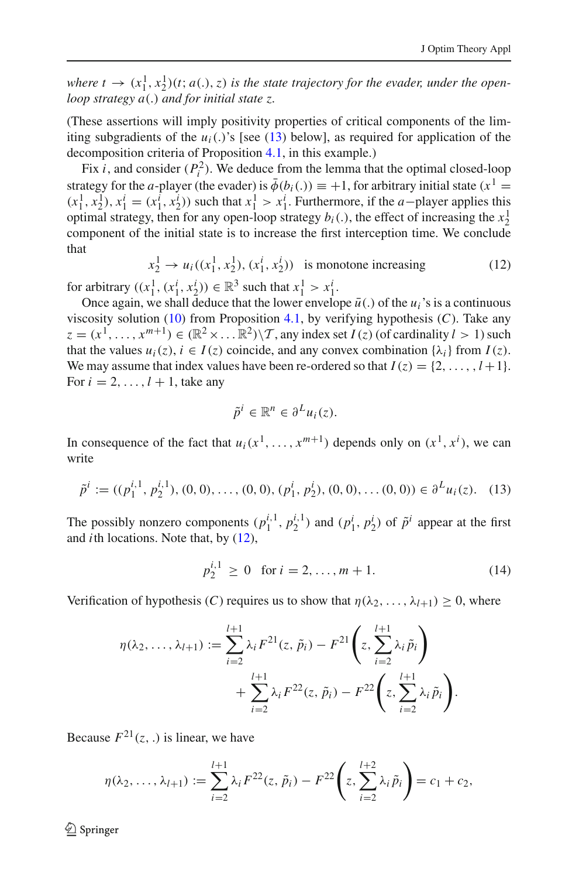*where*  $t \to (x_1^1, x_2^1)(t; a(.), z)$  *is the state trajectory for the evader, under the openloop strategy a*(.) *and for initial state z.*

(These assertions will imply positivity properties of critical components of the limiting subgradients of the  $u_i(.)$ 's [see [\(13\)](#page-15-0) below], as required for application of the decomposition criteria of Proposition [4.1,](#page-5-2) in this example.)

Fix *i*, and consider  $(P_i^2)$ . We deduce from the lemma that the optimal closed-loop strategy for the *a*-player (the evader) is  $\bar{\phi}(b_i(.)) \equiv +1$ , for arbitrary initial state ( $x^1 =$  $(x_1^1, x_2^1), x_1^i = (x_1^i, x_2^i)$  such that  $x_1^1 > x_1^i$ . Furthermore, if the *a*−player applies this optimal strategy, then for any open-loop strategy  $b_i(.)$ , the effect of increasing the  $x_2^1$ component of the initial state is to increase the first interception time. We conclude that

$$
x_2^1 \to u_i((x_1^1, x_2^1), (x_1^i, x_2^i))
$$
 is monotone increasing (12)

<span id="page-15-1"></span>for arbitrary  $((x_1^1, (x_1^i, x_2^i)) \in \mathbb{R}^3$  such that  $x_1^1 > x_1^i$ .

Once again, we shall deduce that the lower envelope  $\bar{u}$ . of the  $u_i$ 's is a continuous viscosity solution [\(10\)](#page-13-0) from Proposition [4.1,](#page-5-2) by verifying hypothesis (*C*). Take any  $z = (x^1, \ldots, x^{m+1}) \in (\mathbb{R}^2 \times \ldots \mathbb{R}^2) \setminus \mathcal{T}$ , any index set  $I(z)$  (of cardinality  $l > 1$ ) such that the values  $u_i(z)$ ,  $i \in I(z)$  coincide, and any convex combination  $\{\lambda_i\}$  from  $I(z)$ . We may assume that index values have been re-ordered so that  $I(z) = \{2, \ldots, l+1\}.$ For  $i = 2, \ldots, l + 1$ , take any

$$
\tilde{p}^i \in \mathbb{R}^n \in \partial^L u_i(z).
$$

In consequence of the fact that  $u_i(x^1, \ldots, x^{m+1})$  depends only on  $(x^1, x^i)$ , we can write

$$
\tilde{p}^i := ((p_1^{i,1}, p_2^{i,1}), (0, 0), \dots, (0, 0), (p_1^i, p_2^i), (0, 0), \dots (0, 0)) \in \partial^L u_i(z). \tag{13}
$$

<span id="page-15-0"></span>The possibly nonzero components  $(p_1^{i,1}, p_2^{i,1})$  and  $(p_1^i, p_2^i)$  of  $\tilde{p}^i$  appear at the first and *i*th locations. Note that, by [\(12\)](#page-15-1),

$$
p_2^{i,1} \ge 0 \quad \text{for } i = 2, \dots, m+1. \tag{14}
$$

<span id="page-15-2"></span>Verification of hypothesis (*C*) requires us to show that  $\eta(\lambda_2,\ldots,\lambda_{l+1}) \geq 0$ , where

$$
\eta(\lambda_2, ..., \lambda_{l+1}) := \sum_{i=2}^{l+1} \lambda_i F^{21}(z, \tilde{p}_i) - F^{21}\left(z, \sum_{i=2}^{l+1} \lambda_i \tilde{p}_i\right) + \sum_{i=2}^{l+1} \lambda_i F^{22}(z, \tilde{p}_i) - F^{22}\left(z, \sum_{i=2}^{l+1} \lambda_i \tilde{p}_i\right).
$$

Because  $F^{21}(z, .)$  is linear, we have

$$
\eta(\lambda_2,\ldots,\lambda_{l+1}) := \sum_{i=2}^{l+1} \lambda_i F^{22}(z,\,\tilde{p}_i) - F^{22}\left(z,\sum_{i=2}^{l+2} \lambda_i \,\tilde{p}_i\right) = c_1 + c_2,
$$

 $\mathcal{L}$  Springer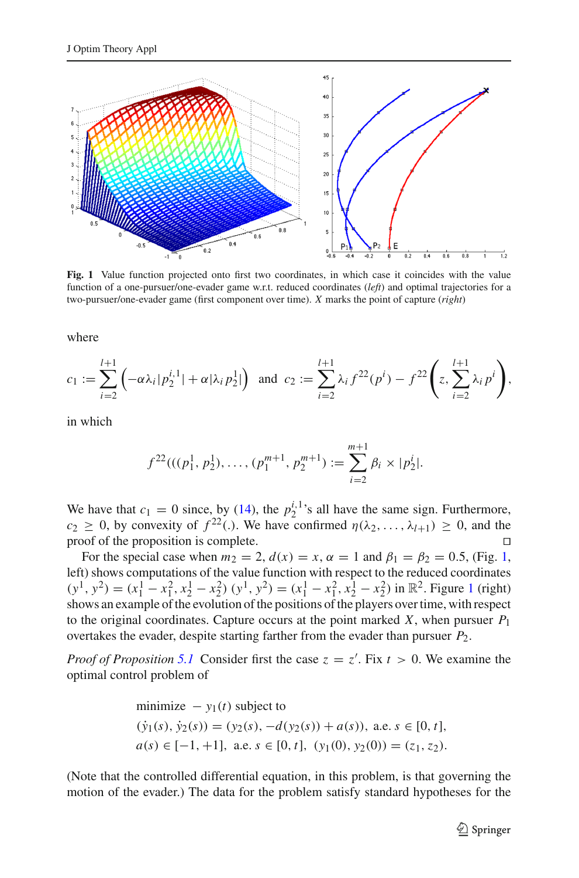

<span id="page-16-0"></span>**Fig. 1** Value function projected onto first two coordinates, in which case it coincides with the value function of a one-pursuer/one-evader game w.r.t. reduced coordinates (*left*) and optimal trajectories for a two-pursuer/one-evader game (first component over time). *X* marks the point of capture (*right*)

where

$$
c_1 := \sum_{i=2}^{l+1} \left( -\alpha \lambda_i | p_2^{i,1} | + \alpha | \lambda_i p_2^1 | \right) \text{ and } c_2 := \sum_{i=2}^{l+1} \lambda_i f^{22}(p^i) - f^{22} \left( z, \sum_{i=2}^{l+1} \lambda_i p^i \right),
$$

in which

$$
f^{22}(((p_1^1, p_2^1), \ldots, (p_1^{m+1}, p_2^{m+1}) := \sum_{i=2}^{m+1} \beta_i \times |p_2^i|.
$$

We have that  $c_1 = 0$  since, by [\(14\)](#page-15-2), the  $p_2^{i,1}$ 's all have the same sign. Furthermore, *c*<sub>2</sub> ≥ 0, by convexity of  $f^{22}$ (.). We have confirmed  $\eta(\lambda_2, ..., \lambda_{l+1}) \ge 0$ , and the proposition is complete proof of the proposition is complete.

For the special case when  $m_2 = 2$ ,  $d(x) = x$ ,  $\alpha = 1$  and  $\beta_1 = \beta_2 = 0.5$ , (Fig. [1,](#page-16-0) left) shows computations of the value function with respect to the reduced coordinates  $(y<sup>1</sup>, y<sup>2</sup>) = (x<sub>1</sub><sup>1</sup> - x<sub>1</sub><sup>2</sup>, x<sub>2</sub><sup>1</sup> - x<sub>2</sub><sup>2</sup>) (y<sup>1</sup>, y<sup>2</sup>) = (x<sub>1</sub><sup>1</sup> - x<sub>1</sub><sup>2</sup>, x<sub>2</sub><sup>1</sup> - x<sub>2</sub><sup>2</sup>) in R<sup>2</sup>. Figure 1 (right)$  $(y<sup>1</sup>, y<sup>2</sup>) = (x<sub>1</sub><sup>1</sup> - x<sub>1</sub><sup>2</sup>, x<sub>2</sub><sup>1</sup> - x<sub>2</sub><sup>2</sup>) (y<sup>1</sup>, y<sup>2</sup>) = (x<sub>1</sub><sup>1</sup> - x<sub>1</sub><sup>2</sup>, x<sub>2</sub><sup>1</sup> - x<sub>2</sub><sup>2</sup>) in R<sup>2</sup>. Figure 1 (right)$  $(y<sup>1</sup>, y<sup>2</sup>) = (x<sub>1</sub><sup>1</sup> - x<sub>1</sub><sup>2</sup>, x<sub>2</sub><sup>1</sup> - x<sub>2</sub><sup>2</sup>) (y<sup>1</sup>, y<sup>2</sup>) = (x<sub>1</sub><sup>1</sup> - x<sub>1</sub><sup>2</sup>, x<sub>2</sub><sup>1</sup> - x<sub>2</sub><sup>2</sup>) in R<sup>2</sup>. Figure 1 (right)$ shows an example of the evolution of the positions of the players over time, with respect to the original coordinates. Capture occurs at the point marked  $X$ , when pursuer  $P_1$ overtakes the evader, despite starting farther from the evader than pursuer *P*2.

*Proof of Proposition* [5.1](#page-11-1) Consider first the case  $z = z'$ . Fix  $t > 0$ . We examine the optimal control problem of

minimize 
$$
-y_1(t)
$$
 subject to  
\n $(\dot{y}_1(s), \dot{y}_2(s)) = (y_2(s), -d(y_2(s)) + a(s)), \text{ a.e. } s \in [0, t],$   
\n $a(s) \in [-1, +1], \text{ a.e. } s \in [0, t], (y_1(0), y_2(0)) = (z_1, z_2).$ 

(Note that the controlled differential equation, in this problem, is that governing the motion of the evader.) The data for the problem satisfy standard hypotheses for the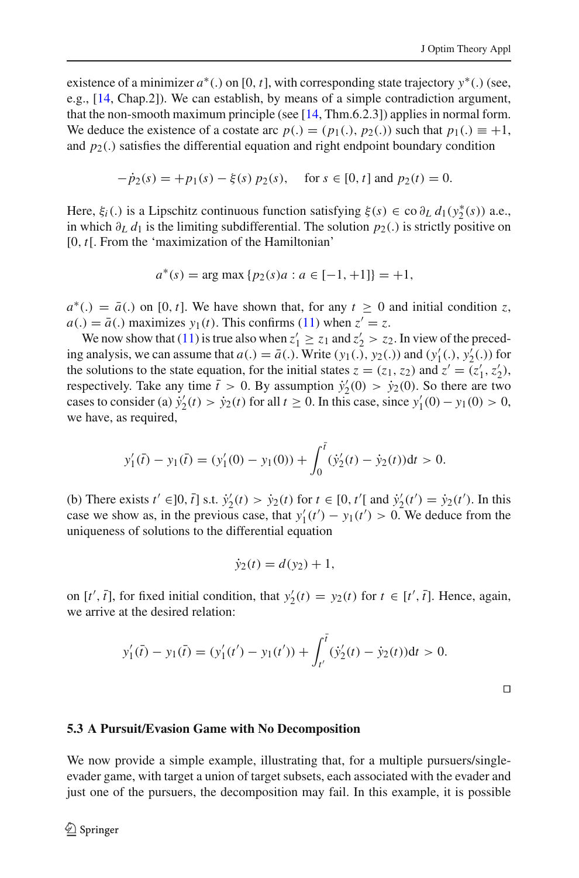existence of a minimizer *a*∗(.) on [0, *t*], with corresponding state trajectory *y*∗(.) (see, e.g., [\[14,](#page-26-12) Chap.2]). We can establish, by means of a simple contradiction argument, that the non-smooth maximum principle (see [\[14](#page-26-12), Thm.6.2.3]) applies in normal form. We deduce the existence of a costate arc  $p(.) = (p_1(.), p_2(.))$  such that  $p_1(.) \equiv +1$ , and  $p_2(.)$  satisfies the differential equation and right endpoint boundary condition

$$
-\dot{p}_2(s) = +p_1(s) - \xi(s) p_2(s), \quad \text{for } s \in [0, t] \text{ and } p_2(t) = 0.
$$

Here,  $\xi_i(.)$  is a Lipschitz continuous function satisfying  $\xi(s) \in \text{co } \partial_L d_1(y_2^*(s))$  a.e., in which  $\partial_L d_1$  is the limiting subdifferential. The solution  $p_2(.)$  is strictly positive on [0, *t*[. From the 'maximization of the Hamiltonian'

$$
a^*(s) = \arg\max\{p_2(s)a : a \in [-1, +1]\} = +1,
$$

 $a^*$ .) =  $\bar{a}$ .) on [0, *t*]. We have shown that, for any  $t \ge 0$  and initial condition *z*,  $a(.) = \overline{a}(.)$  maximizes  $y_1(t)$ . This confirms [\(11\)](#page-14-0) when  $z' = z$ .

We now show that [\(11\)](#page-14-0) is true also when  $z'_1 \ge z_1$  and  $z'_2 > z_2$ . In view of the preceding analysis, we can assume that  $a(.) = \overline{a}(.)$ . Write  $(y_1(.), y_2(.))$  and  $(y'_1(.), y'_2(.))$  for the solutions to the state equation, for the initial states  $z = (z_1, z_2)$  and  $z' = (z'_1, z'_2)$ , respectively. Take any time  $\bar{t} > 0$ . By assumption  $\dot{y}'_2(0) > \dot{y}_2(0)$ . So there are two cases to consider (a)  $\dot{y}'_2(t) > \dot{y}_2(t)$  for all  $t \ge 0$ . In this case, since  $y'_1(0) - y_1(0) > 0$ , we have, as required,

$$
y'_1(\bar{t}) - y_1(\bar{t}) = (y'_1(0) - y_1(0)) + \int_0^{\bar{t}} (\dot{y}'_2(t) - \dot{y}_2(t))dt > 0.
$$

(b) There exists  $t' \in ]0, \bar{t}]$  s.t.  $\dot{y}'_2(t) > \dot{y}_2(t)$  for  $t \in [0, t']$  and  $\dot{y}'_2(t') = \dot{y}_2(t')$ . In this case we show as, in the previous case, that  $y_1'(t') - y_1(t') > 0$ . We deduce from the uniqueness of solutions to the differential equation

$$
\dot{y}_2(t) = d(y_2) + 1,
$$

on  $[t', \bar{t}]$ , for fixed initial condition, that  $y_2'(t) = y_2(t)$  for  $t \in [t', \bar{t}]$ . Hence, again, we arrive at the desired relation:

$$
y'_1(\bar{t}) - y_1(\bar{t}) = (y'_1(t') - y_1(t')) + \int_{t'}^{\bar{t}} (\dot{y}'_2(t) - \dot{y}_2(t))dt > 0.
$$

 $\Box$ 

#### **5.3 A Pursuit/Evasion Game with No Decomposition**

We now provide a simple example, illustrating that, for a multiple pursuers/singleevader game, with target a union of target subsets, each associated with the evader and just one of the pursuers, the decomposition may fail. In this example, it is possible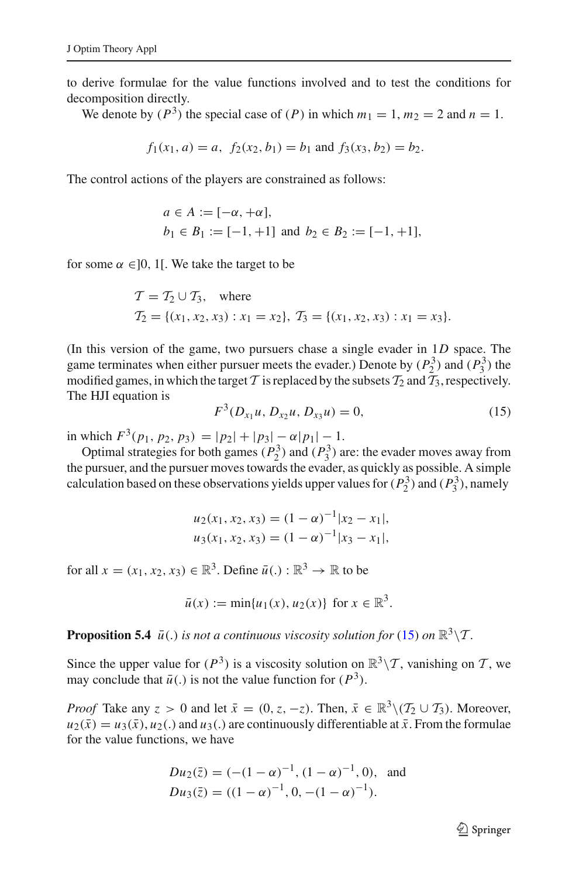to derive formulae for the value functions involved and to test the conditions for decomposition directly.

We denote by  $(P^3)$  the special case of  $(P)$  in which  $m_1 = 1$ ,  $m_2 = 2$  and  $n = 1$ .

$$
f_1(x_1, a) = a
$$
,  $f_2(x_2, b_1) = b_1$  and  $f_3(x_3, b_2) = b_2$ .

The control actions of the players are constrained as follows:

$$
a \in A := [-\alpha, +\alpha],
$$
  
\n $b_1 \in B_1 := [-1, +1]$  and  $b_2 \in B_2 := [-1, +1],$ 

for some  $\alpha \in ]0, 1[$ . We take the target to be

$$
T = T_2 \cup T_3, \text{ where}
$$
  
\n
$$
T_2 = \{(x_1, x_2, x_3) : x_1 = x_2\}, T_3 = \{(x_1, x_2, x_3) : x_1 = x_3\}.
$$

(In this version of the game, two pursuers chase a single evader in 1*D* space. The game terminates when either pursuer meets the evader.) Denote by  $(P_2^3)$  and  $(P_3^3)$  the modified games, in which the target *T* is replaced by the subsets  $\mathcal{T}_2$  and  $\mathcal{T}_3$ , respectively. The HJI equation is

$$
F^3(D_{x_1}u, D_{x_2}u, D_{x_3}u) = 0,
$$
\n(15)

<span id="page-18-0"></span>in which  $F^3(p_1, p_2, p_3) = |p_2| + |p_3| - \alpha |p_1| - 1$ .

Optimal strategies for both games  $(P_2^3)$  and  $(P_3^3)$  are: the evader moves away from the pursuer, and the pursuer moves towards the evader, as quickly as possible. A simple calculation based on these observations yields upper values for  $(P_2^3)$  and  $(P_3^3)$ , namely

$$
u_2(x_1, x_2, x_3) = (1 - \alpha)^{-1} |x_2 - x_1|,
$$
  

$$
u_3(x_1, x_2, x_3) = (1 - \alpha)^{-1} |x_3 - x_1|,
$$

for all  $x = (x_1, x_2, x_3) \in \mathbb{R}^3$ . Define  $\bar{u}$ .  $: \mathbb{R}^3 \to \mathbb{R}$  to be

$$
\bar{u}(x) := \min\{u_1(x), u_2(x)\}\
$$
for  $x \in \mathbb{R}^3$ .

**Proposition 5.4**  $\bar{u}$ (.) *is not a continuous viscosity solution for* [\(15\)](#page-18-0) *on*  $\mathbb{R}^3 \setminus \mathcal{T}$ *.* 

Since the upper value for  $(P^3)$  is a viscosity solution on  $\mathbb{R}^3 \setminus \mathcal{T}$ , vanishing on  $\mathcal{T}$ , we may conclude that  $\bar{u}$ .) is not the value function for  $(P^3)$ .

*Proof* Take any  $z > 0$  and let  $\bar{x} = (0, z, -z)$ . Then,  $\bar{x} \in \mathbb{R}^3 \setminus (\mathcal{T}_2 \cup \mathcal{T}_3)$ . Moreover,  $u_2(\bar{x}) = u_3(\bar{x}), u_2(.)$  and  $u_3(.)$  are continuously differentiable at  $\bar{x}$ . From the formulae for the value functions, we have

$$
Du_2(\bar{z}) = (-(1-\alpha)^{-1}, (1-\alpha)^{-1}, 0), \text{ and}
$$
  
\n
$$
Du_3(\bar{z}) = ((1-\alpha)^{-1}, 0, -(1-\alpha)^{-1}).
$$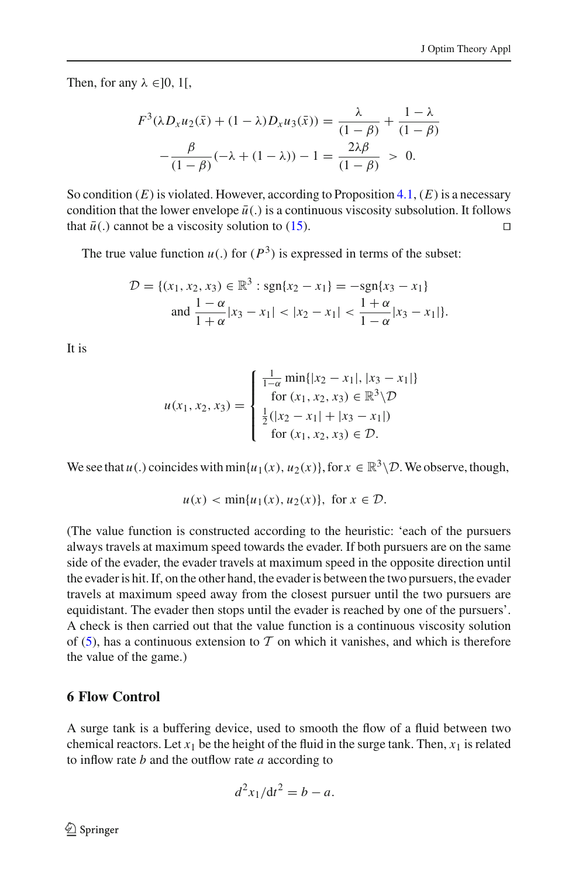Then, for any  $\lambda \in ]0, 1[$ ,

$$
F^{3}(\lambda D_{x}u_{2}(\bar{x}) + (1 - \lambda)D_{x}u_{3}(\bar{x})) = \frac{\lambda}{(1 - \beta)} + \frac{1 - \lambda}{(1 - \beta)}
$$

$$
-\frac{\beta}{(1 - \beta)}(-\lambda + (1 - \lambda)) - 1 = \frac{2\lambda\beta}{(1 - \beta)} > 0.
$$

So condition  $(E)$  is violated. However, according to Proposition  $4.1$ ,  $(E)$  is a necessary condition that the lower envelope  $\bar{u}$ .) is a continuous viscosity subsolution. It follows that  $\bar{u}$ . cannot be a viscosity solution to (15) that  $\bar{u}$ (.) cannot be a viscosity solution to [\(15\)](#page-18-0).

The true value function  $u(.)$  for  $(P^3)$  is expressed in terms of the subset:

$$
\mathcal{D} = \{(x_1, x_2, x_3) \in \mathbb{R}^3 : \text{sgn}\{x_2 - x_1\} = -\text{sgn}\{x_3 - x_1\}
$$
  
and 
$$
\frac{1 - \alpha}{1 + \alpha}|x_3 - x_1| < |x_2 - x_1| < \frac{1 + \alpha}{1 - \alpha}|x_3 - x_1| \}.
$$

It is

$$
u(x_1, x_2, x_3) = \begin{cases} \frac{1}{1-\alpha} \min\{|x_2 - x_1|, |x_3 - x_1|\} \\ \text{for } (x_1, x_2, x_3) \in \mathbb{R}^3 \setminus \mathcal{D} \\ \frac{1}{2}(|x_2 - x_1| + |x_3 - x_1|) \\ \text{for } (x_1, x_2, x_3) \in \mathcal{D}. \end{cases}
$$

We see that  $u(.)$  coincides with  $\min\{u_1(x), u_2(x)\}\$ , for  $x \in \mathbb{R}^3 \setminus \mathcal{D}$ . We observe, though,

$$
u(x) < \min\{u_1(x), u_2(x)\}, \text{ for } x \in \mathcal{D}.
$$

(The value function is constructed according to the heuristic: 'each of the pursuers always travels at maximum speed towards the evader. If both pursuers are on the same side of the evader, the evader travels at maximum speed in the opposite direction until the evader is hit. If, on the other hand, the evader is between the two pursuers, the evader travels at maximum speed away from the closest pursuer until the two pursuers are equidistant. The evader then stops until the evader is reached by one of the pursuers'. A check is then carried out that the value function is a continuous viscosity solution of [\(5\)](#page-10-0), has a continuous extension to  $T$  on which it vanishes, and which is therefore the value of the game.)

## <span id="page-19-0"></span>**6 Flow Control**

A surge tank is a buffering device, used to smooth the flow of a fluid between two chemical reactors. Let  $x_1$  be the height of the fluid in the surge tank. Then,  $x_1$  is related to inflow rate *b* and the outflow rate *a* according to

$$
d^2x_1/dt^2 = b - a.
$$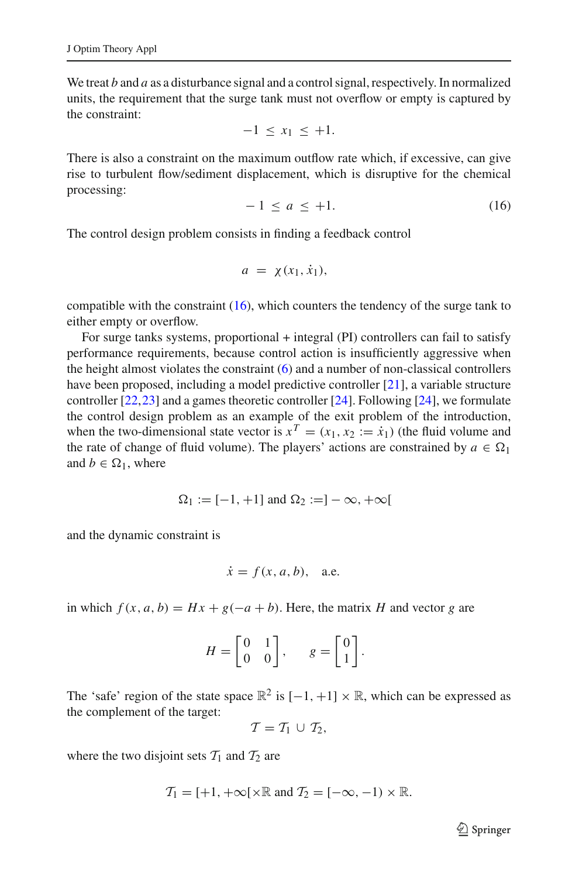We treat *b* and *a* as a disturbance signal and a control signal, respectively. In normalized units, the requirement that the surge tank must not overflow or empty is captured by the constraint:

$$
-1 \leq x_1 \leq +1.
$$

There is also a constraint on the maximum outflow rate which, if excessive, can give rise to turbulent flow/sediment displacement, which is disruptive for the chemical processing:

$$
-1 \le a \le +1. \tag{16}
$$

<span id="page-20-0"></span>The control design problem consists in finding a feedback control

$$
a = \chi(x_1, \dot{x}_1),
$$

compatible with the constraint  $(16)$ , which counters the tendency of the surge tank to either empty or overflow.

For surge tanks systems, proportional + integral (PI) controllers can fail to satisfy performance requirements, because control action is insufficiently aggressive when the height almost violates the constraint [\(6\)](#page-19-0) and a number of non-classical controllers have been proposed, including a model predictive controller [\[21](#page-27-1)], a variable structure controller [\[22,](#page-27-2)[23\]](#page-27-3) and a games theoretic controller [\[24](#page-27-4)]. Following [\[24\]](#page-27-4), we formulate the control design problem as an example of the exit problem of the introduction, when the two-dimensional state vector is  $x^T = (x_1, x_2 := \dot{x}_1)$  (the fluid volume and the rate of change of fluid volume). The players' actions are constrained by  $a \in \Omega_1$ and  $b \in \Omega_1$ , where

$$
\Omega_1 := [-1, +1] \text{ and } \Omega_2 := ]-\infty, +\infty[
$$

and the dynamic constraint is

$$
\dot{x} = f(x, a, b), \quad \text{a.e.}
$$

in which  $f(x, a, b) = Hx + g(-a + b)$ . Here, the matrix *H* and vector *g* are

$$
H = \begin{bmatrix} 0 & 1 \\ 0 & 0 \end{bmatrix}, \qquad g = \begin{bmatrix} 0 \\ 1 \end{bmatrix}.
$$

The 'safe' region of the state space  $\mathbb{R}^2$  is  $[-1, +1] \times \mathbb{R}$ , which can be expressed as the complement of the target:

$$
\mathcal{T}=\mathcal{T}_1\,\cup\,\mathcal{T}_2,
$$

where the two disjoint sets  $T_1$  and  $T_2$  are

$$
\mathcal{T}_1 = [+1, +\infty[\times \mathbb{R} \text{ and } \mathcal{T}_2 = [-\infty, -1) \times \mathbb{R}].
$$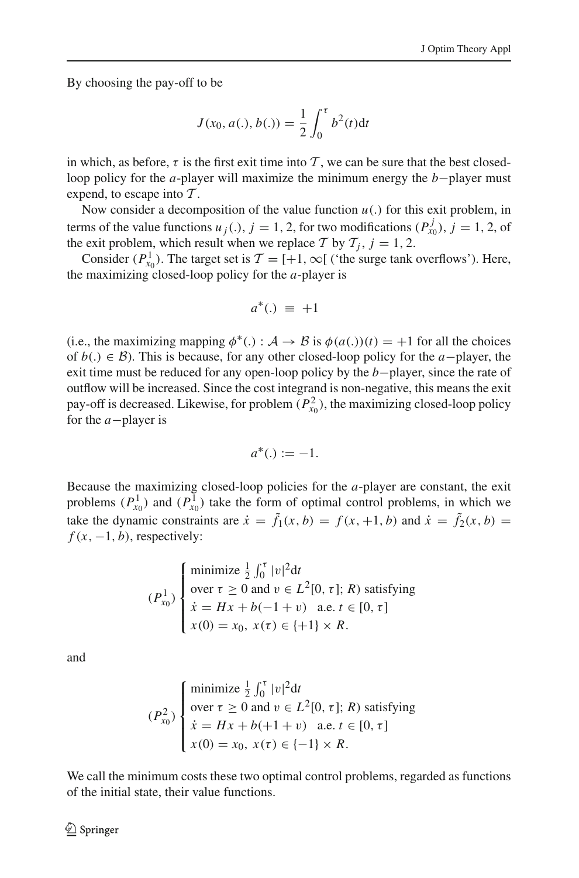By choosing the pay-off to be

$$
J(x_0, a(.), b(.)) = \frac{1}{2} \int_0^{\tau} b^2(t) dt
$$

in which, as before,  $\tau$  is the first exit time into T, we can be sure that the best closedloop policy for the *a*-player will maximize the minimum energy the *b*−player must expend, to escape into *T* .

Now consider a decomposition of the value function  $u(.)$  for this exit problem, in terms of the value functions  $u_j(.)$ ,  $j = 1, 2$ , for two modifications  $(P_{x_0}^j)$ ,  $j = 1, 2$ , of the exit problem, which result when we replace *T* by  $T_i$ ,  $j = 1, 2$ .

Consider  $(P_{x_0}^1)$ . The target set is  $\mathcal{T} = [+1, \infty[$  ('the surge tank overflows'). Here, the maximizing closed-loop policy for the *a*-player is

$$
a^*(.) \equiv +1
$$

(i.e., the maximizing mapping  $\phi^*(.) : \mathcal{A} \to \mathcal{B}$  is  $\phi(a(.))(t) = +1$  for all the choices of *b*(.) ∈ *B*). This is because, for any other closed-loop policy for the *a*−player, the exit time must be reduced for any open-loop policy by the *b*−player, since the rate of outflow will be increased. Since the cost integrand is non-negative, this means the exit pay-off is decreased. Likewise, for problem  $(P_{x_0}^2)$ , the maximizing closed-loop policy for the *a*−player is

$$
a^*(.) := -1.
$$

Because the maximizing closed-loop policies for the *a*-player are constant, the exit problems  $(P_{x_0}^1)$  and  $(P_{x_0}^1)$  take the form of optimal control problems, in which we take the dynamic constraints are  $\dot{x} = \tilde{f}_1(x, b) = f(x, +1, b)$  and  $\dot{x} = \tilde{f}_2(x, b) = f(x, b)$  $f(x, -1, b)$ , respectively:

$$
(P_{x_0}^1) \begin{cases} \text{minimize } \frac{1}{2} \int_0^{\tau} |v|^2 dt \\ \text{over } \tau \ge 0 \text{ and } v \in L^2[0, \tau]; R) \text{ satisfying} \\ \dot{x} = Hx + b(-1 + v) \quad \text{a.e. } t \in [0, \tau] \\ x(0) = x_0, x(\tau) \in \{+1\} \times R. \end{cases}
$$

and

$$
(P_{x_0}^2) \begin{cases} \text{minimize } \frac{1}{2} \int_0^{\tau} |v|^2 dt \\ \text{over } \tau \ge 0 \text{ and } v \in L^2[0, \tau]; R) \text{ satisfying} \\ \dot{x} = Hx + b(+1+v) \quad \text{a.e. } t \in [0, \tau] \\ x(0) = x_0, x(\tau) \in \{-1\} \times R. \end{cases}
$$

We call the minimum costs these two optimal control problems, regarded as functions of the initial state, their value functions.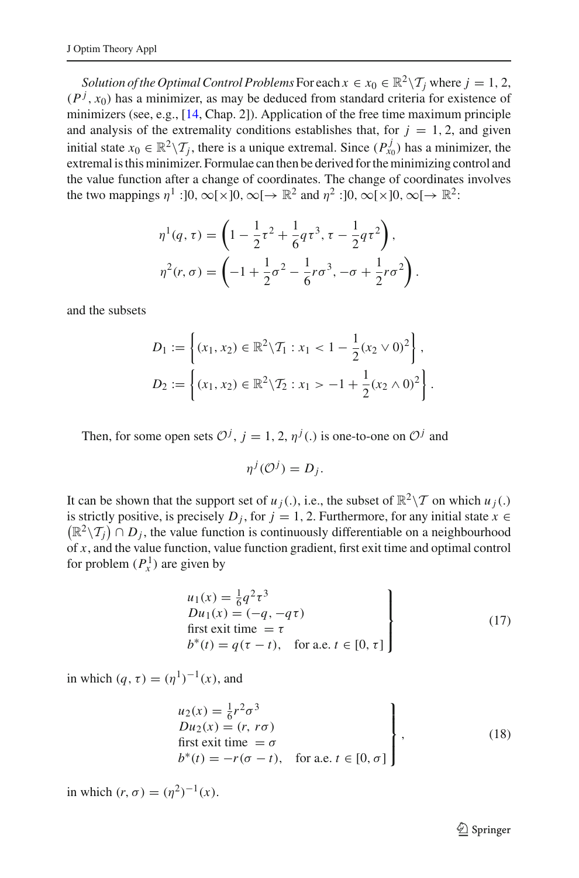*Solution of the Optimal Control Problems* For each  $x \in x_0 \in \mathbb{R}^2 \setminus \mathcal{T}_i$  where  $j = 1, 2$ ,  $(P<sup>j</sup>, x<sub>0</sub>)$  has a minimizer, as may be deduced from standard criteria for existence of minimizers (see, e.g., [\[14](#page-26-12), Chap. 2]). Application of the free time maximum principle and analysis of the extremality conditions establishes that, for  $j = 1, 2$ , and given initial state  $x_0 \in \mathbb{R}^2 \setminus \mathcal{T}_j$ , there is a unique extremal. Since  $(P_{x_0}^j)$  has a minimizer, the extremal is this minimizer. Formulae can then be derived for the minimizing control and the value function after a change of coordinates. The change of coordinates involves the two mappings  $\eta^1$ :[0, ∞[×]0, ∞[→  $\mathbb{R}^2$  and  $\eta^2$ :[0, ∞[×]0, ∞[→  $\mathbb{R}^2$ :

$$
\eta^{1}(q,\tau) = \left(1 - \frac{1}{2}\tau^{2} + \frac{1}{6}q\tau^{3}, \tau - \frac{1}{2}q\tau^{2}\right),
$$
  

$$
\eta^{2}(r,\sigma) = \left(-1 + \frac{1}{2}\sigma^{2} - \frac{1}{6}r\sigma^{3}, -\sigma + \frac{1}{2}r\sigma^{2}\right).
$$

and the subsets

$$
D_1 := \left\{ (x_1, x_2) \in \mathbb{R}^2 \backslash \mathcal{T}_1 : x_1 < 1 - \frac{1}{2} (x_2 \vee 0)^2 \right\},
$$
\n
$$
D_2 := \left\{ (x_1, x_2) \in \mathbb{R}^2 \backslash \mathcal{T}_2 : x_1 > -1 + \frac{1}{2} (x_2 \wedge 0)^2 \right\}.
$$

Then, for some open sets  $\mathcal{O}^j$ ,  $j = 1, 2, \eta^j$ . is one-to-one on  $\mathcal{O}^j$  and

$$
\eta^j(\mathcal{O}^j)=D_j.
$$

It can be shown that the support set of  $u_j(.)$ , i.e., the subset of  $\mathbb{R}^2 \setminus \mathcal{T}$  on which  $u_j(.)$ is strictly positive, is precisely *D<sub>i</sub>*, for  $j = 1, 2$ . Furthermore, for any initial state  $x \in$  $(\mathbb{R}^2 \setminus \mathcal{T}_j) \cap D_j$ , the value function is continuously differentiable on a neighbourhood of *x*, and the value function, value function gradient, first exit time and optimal control for problem  $(P_x^1)$  are given by

$$
\begin{aligned}\nu_1(x) &= \frac{1}{6}q^2\tau^3\\Du_1(x) &= (-q, -q\tau)\\ \text{first exit time } &= \tau\\b^*(t) &= q(\tau - t), \quad \text{for a.e. } t \in [0, \tau]\n\end{aligned}\n\tag{17}
$$

<span id="page-22-0"></span>in which  $(q, \tau) = (\eta^1)^{-1}(x)$ , and

$$
\begin{aligned}\nu_2(x) &= \frac{1}{6}r^2\sigma^3\\Du_2(x) &= (r, r\sigma)\\ \text{first exit time } &= \sigma\\b^*(t) &= -r(\sigma - t), \quad \text{for a.e. } t \in [0, \sigma]\end{aligned}\bigg\},\tag{18}
$$

<span id="page-22-1"></span>in which  $(r, \sigma) = (\eta^2)^{-1}(x)$ .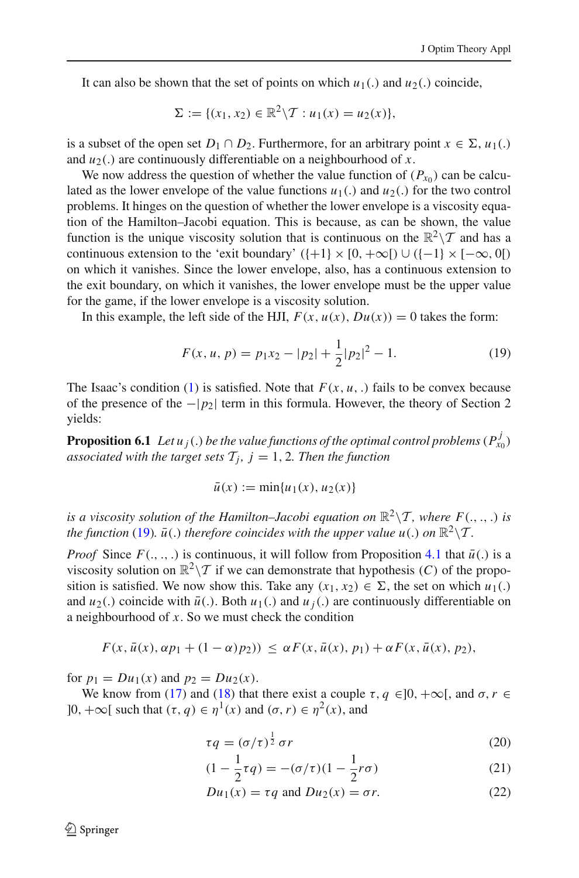It can also be shown that the set of points on which  $u_1(.)$  and  $u_2(.)$  coincide,

$$
\Sigma := \{ (x_1, x_2) \in \mathbb{R}^2 \backslash \mathcal{T} : u_1(x) = u_2(x) \},\
$$

is a subset of the open set  $D_1 \cap D_2$ . Furthermore, for an arbitrary point  $x \in \Sigma$ ,  $u_1(.)$ and  $u_2$ .) are continuously differentiable on a neighbourhood of *x*.

We now address the question of whether the value function of  $(P_{x_0})$  can be calculated as the lower envelope of the value functions  $u_1(.)$  and  $u_2(.)$  for the two control problems. It hinges on the question of whether the lower envelope is a viscosity equation of the Hamilton–Jacobi equation. This is because, as can be shown, the value function is the unique viscosity solution that is continuous on the  $\mathbb{R}^2 \setminus \mathcal{T}$  and has a continuous extension to the 'exit boundary'  $(\{+1\} \times [0, +\infty[) \cup (\{-1\} \times [-\infty, 0[)$ on which it vanishes. Since the lower envelope, also, has a continuous extension to the exit boundary, on which it vanishes, the lower envelope must be the upper value for the game, if the lower envelope is a viscosity solution.

<span id="page-23-0"></span>In this example, the left side of the HJI,  $F(x, u(x), Du(x)) = 0$  takes the form:

$$
F(x, u, p) = p_1 x_2 - |p_2| + \frac{1}{2}|p_2|^2 - 1.
$$
 (19)

The Isaac's condition [\(1\)](#page-4-0) is satisfied. Note that  $F(x, u, \cdot)$  fails to be convex because of the presence of the −|*p*2| term in this formula. However, the theory of Section 2 yields:

**Proposition 6.1** Let  $u_j(.)$  be the value functions of the optimal control problems  $(P_{x_0}^j)$ *associated with the target sets*  $\mathcal{T}_i$ ,  $j = 1, 2$ *. Then the function* 

$$
\bar{u}(x) := \min\{u_1(x), u_2(x)\}\
$$

*is a viscosity solution of the Hamilton–Jacobi equation on*  $\mathbb{R}^2 \setminus \mathcal{T}$ , where  $F(.,.,.)$  *is the function* [\(19\)](#page-23-0)*.*  $\bar{u}$ (*.) therefore coincides with the upper value*  $u$ (*.) on*  $\mathbb{R}^2 \setminus \mathcal{T}$ *.* 

*Proof* Since  $F(., ., .)$  is continuous, it will follow from Proposition [4.1](#page-5-2) that  $\bar{u}(.)$  is a viscosity solution on  $\mathbb{R}^2 \setminus \mathcal{T}$  if we can demonstrate that hypothesis (C) of the proposition is satisfied. We now show this. Take any  $(x_1, x_2) \in \Sigma$ , the set on which  $u_1(.)$ and  $u_2(.)$  coincide with  $\bar{u}(.)$ . Both  $u_1(.)$  and  $u_i(.)$  are continuously differentiable on a neighbourhood of *x*. So we must check the condition

$$
F(x,\bar{u}(x),\alpha p_1+(1-\alpha)p_2)) \leq \alpha F(x,\bar{u}(x),p_1) + \alpha F(x,\bar{u}(x),p_2),
$$

for  $p_1 = Du_1(x)$  and  $p_2 = Du_2(x)$ .

<span id="page-23-1"></span>We know from [\(17\)](#page-22-0) and [\(18\)](#page-22-1) that there exist a couple  $\tau, q \in ]0, +\infty[$ , and  $\sigma, r \in$  $]0, +\infty[$  such that  $(\tau, q) \in \eta^1(x)$  and  $(\sigma, r) \in \eta^2(x)$ , and

$$
\tau q = (\sigma/\tau)^{\frac{1}{2}} \sigma r \tag{20}
$$

$$
(1 - \frac{1}{2}\tau q) = -(\sigma/\tau)(1 - \frac{1}{2}r\sigma)
$$
\n(21)

$$
Du_1(x) = \tau q \text{ and } Du_2(x) = \sigma r. \tag{22}
$$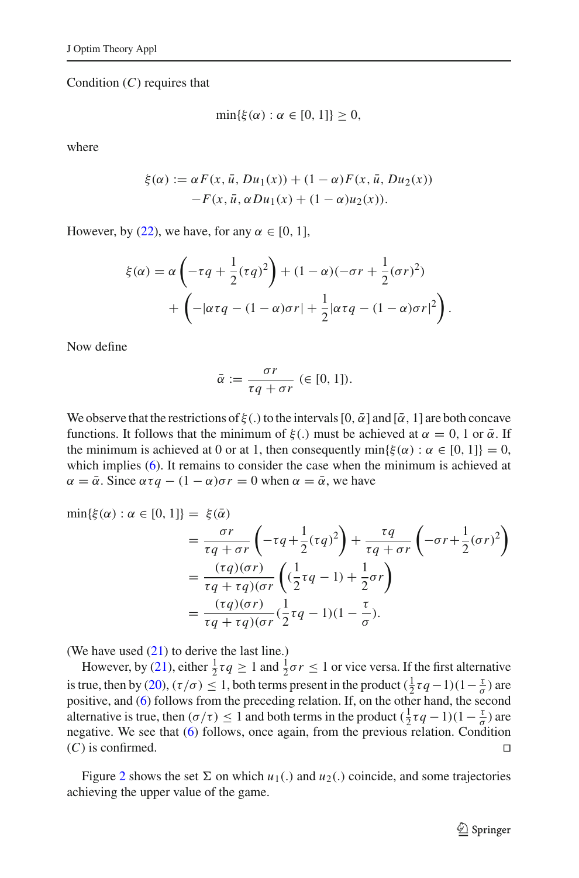Condition (*C*) requires that

$$
\min\{\xi(\alpha): \alpha \in [0,1]\} \geq 0,
$$

where

$$
\xi(\alpha) := \alpha F(x, \bar{u}, Du_1(x)) + (1 - \alpha) F(x, \bar{u}, Du_2(x))
$$

$$
-F(x, \bar{u}, \alpha Du_1(x)) + (1 - \alpha) u_2(x)).
$$

However, by [\(22\)](#page-23-1), we have, for any  $\alpha \in [0, 1]$ ,

$$
\xi(\alpha) = \alpha \left( -\tau q + \frac{1}{2} (\tau q)^2 \right) + (1 - \alpha)(-\sigma r + \frac{1}{2} (\sigma r)^2)
$$

$$
+ \left( -|\alpha \tau q - (1 - \alpha) \sigma r| + \frac{1}{2} |\alpha \tau q - (1 - \alpha) \sigma r|^2 \right).
$$

Now define

$$
\bar{\alpha} := \frac{\sigma r}{\tau q + \sigma r} \ (\in [0, 1]).
$$

We observe that the restrictions of  $\xi(.)$  to the intervals  $[0, \bar{\alpha}]$  and  $[\bar{\alpha}, 1]$  are both concave functions. It follows that the minimum of  $\xi(.)$  must be achieved at  $\alpha = 0, 1$  or  $\overline{\alpha}$ . If the minimum is achieved at 0 or at 1, then consequently  $\min{\{\xi(\alpha) : \alpha \in [0, 1]\}} = 0$ , which implies [\(6\)](#page-23-1). It remains to consider the case when the minimum is achieved at  $\alpha = \bar{\alpha}$ . Since  $\alpha \tau q - (1 - \alpha) \sigma r = 0$  when  $\alpha = \bar{\alpha}$ , we have

min{ $\xi(\alpha)$ :  $\alpha \in [0, 1]$ } =  $\xi(\overline{\alpha})$  $=\frac{\sigma r}{\tau q + \sigma r}$  $\left(-\tau q+\frac{1}{2}\right)$  $\frac{1}{2}(\tau q)^2\right)$  $^{+}$ τ*q* τ*q* + σ*r*  $\left(-\sigma r+\frac{1}{2}\right)$  $\frac{1}{2}(\sigma r)^2$ <sup>=</sup> (τ*q*)(σ*r*) τ*q* + τ*q*)(σ*r*  $\Big(\frac{1}{2}\Big)$  $rac{1}{2}$ *t q* − 1) +  $rac{1}{2}$  $rac{1}{2} \sigma r$  $=\frac{(\tau q)(\sigma r)}{\tau q + \tau q)(\sigma r}(\frac{1}{2})$  $\frac{1}{2}\tau q-1(1-\frac{\tau}{\sigma}).$ 

(We have used [\(21\)](#page-23-1) to derive the last line.)

However, by [\(21\)](#page-23-1), either  $\frac{1}{2}\tau q \geq 1$  and  $\frac{1}{2}\sigma r \leq 1$  or vice versa. If the first alternative is true, then by [\(20\)](#page-23-1), ( $\tau/\sigma$ )  $\leq 1$ , both terms present in the product ( $\frac{1}{2}\tau q-1$ )( $1-\frac{\tau}{\sigma}$ ) are positive, and [\(6\)](#page-23-1) follows from the preceding relation. If, on the other hand, the second alternative is true, then ( $\sigma/\tau$ )  $\leq 1$  and both terms in the product ( $\frac{1}{2}\tau q - 1$ )( $1 - \frac{\tau}{\sigma}$ ) are negative. We see that [\(6\)](#page-23-1) follows, once again, from the previous relation. Condition (*C*) is confirmed.

Figure [2](#page-25-0) shows the set  $\Sigma$  on which  $u_1(.)$  and  $u_2(.)$  coincide, and some trajectories achieving the upper value of the game.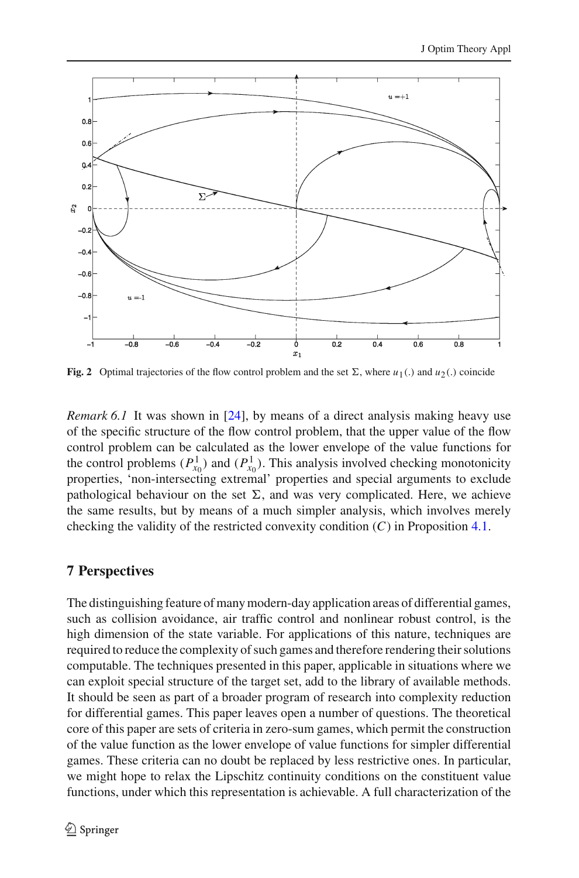

<span id="page-25-0"></span>**Fig. 2** Optimal trajectories of the flow control problem and the set  $\Sigma$ , where  $u_1(.)$  and  $u_2(.)$  coincide

*Remark 6.1* It was shown in [\[24](#page-27-4)], by means of a direct analysis making heavy use of the specific structure of the flow control problem, that the upper value of the flow control problem can be calculated as the lower envelope of the value functions for the control problems  $(P_{x_0}^1)$  and  $(P_{x_0}^1)$ . This analysis involved checking monotonicity properties, 'non-intersecting extremal' properties and special arguments to exclude pathological behaviour on the set  $\Sigma$ , and was very complicated. Here, we achieve the same results, but by means of a much simpler analysis, which involves merely checking the validity of the restricted convexity condition (*C*) in Proposition [4.1.](#page-5-2)

# **7 Perspectives**

The distinguishing feature of many modern-day application areas of differential games, such as collision avoidance, air traffic control and nonlinear robust control, is the high dimension of the state variable. For applications of this nature, techniques are required to reduce the complexity of such games and therefore rendering their solutions computable. The techniques presented in this paper, applicable in situations where we can exploit special structure of the target set, add to the library of available methods. It should be seen as part of a broader program of research into complexity reduction for differential games. This paper leaves open a number of questions. The theoretical core of this paper are sets of criteria in zero-sum games, which permit the construction of the value function as the lower envelope of value functions for simpler differential games. These criteria can no doubt be replaced by less restrictive ones. In particular, we might hope to relax the Lipschitz continuity conditions on the constituent value functions, under which this representation is achievable. A full characterization of the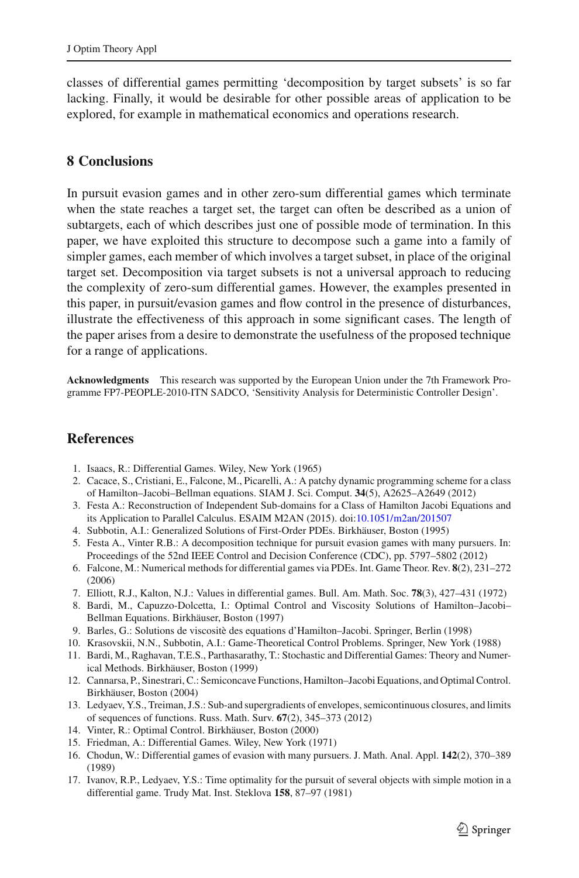classes of differential games permitting 'decomposition by target subsets' is so far lacking. Finally, it would be desirable for other possible areas of application to be explored, for example in mathematical economics and operations research.

# **8 Conclusions**

In pursuit evasion games and in other zero-sum differential games which terminate when the state reaches a target set, the target can often be described as a union of subtargets, each of which describes just one of possible mode of termination. In this paper, we have exploited this structure to decompose such a game into a family of simpler games, each member of which involves a target subset, in place of the original target set. Decomposition via target subsets is not a universal approach to reducing the complexity of zero-sum differential games. However, the examples presented in this paper, in pursuit/evasion games and flow control in the presence of disturbances, illustrate the effectiveness of this approach in some significant cases. The length of the paper arises from a desire to demonstrate the usefulness of the proposed technique for a range of applications.

**Acknowledgments** This research was supported by the European Union under the 7th Framework Programme FP7-PEOPLE-2010-ITN SADCO, 'Sensitivity Analysis for Deterministic Controller Design'.

# **References**

- 1. Isaacs, R.: Differential Games. Wiley, New York (1965)
- <span id="page-26-1"></span><span id="page-26-0"></span>2. Cacace, S., Cristiani, E., Falcone, M., Picarelli, A.: A patchy dynamic programming scheme for a class of Hamilton–Jacobi–Bellman equations. SIAM J. Sci. Comput. **34**(5), A2625–A2649 (2012)
- <span id="page-26-2"></span>3. Festa A.: Reconstruction of Independent Sub-domains for a Class of Hamilton Jacobi Equations and its Application to Parallel Calculus. ESAIM M2AN (2015). doi[:10.1051/m2an/201507](http://dx.doi.org/10.1051/m2an/201507)
- <span id="page-26-3"></span>4. Subbotin, A.I.: Generalized Solutions of First-Order PDEs. Birkhäuser, Boston (1995)
- <span id="page-26-4"></span>5. Festa A., Vinter R.B.: A decomposition technique for pursuit evasion games with many pursuers. In: Proceedings of the 52nd IEEE Control and Decision Conference (CDC), pp. 5797–5802 (2012)
- <span id="page-26-5"></span>6. Falcone, M.: Numerical methods for differential games via PDEs. Int. Game Theor. Rev. **8**(2), 231–272 (2006)
- <span id="page-26-7"></span><span id="page-26-6"></span>7. Elliott, R.J., Kalton, N.J.: Values in differential games. Bull. Am. Math. Soc. **78**(3), 427–431 (1972)
- 8. Bardi, M., Capuzzo-Dolcetta, I.: Optimal Control and Viscosity Solutions of Hamilton–Jacobi– Bellman Equations. Birkhäuser, Boston (1997)
- 9. Barles, G.: Solutions de viscositè des equations d'Hamilton–Jacobi. Springer, Berlin (1998)
- 10. Krasovskii, N.N., Subbotin, A.I.: Game-Theoretical Control Problems. Springer, New York (1988)
- <span id="page-26-9"></span><span id="page-26-8"></span>11. Bardi, M., Raghavan, T.E.S., Parthasarathy, T.: Stochastic and Differential Games: Theory and Numerical Methods. Birkhäuser, Boston (1999)
- <span id="page-26-10"></span>12. Cannarsa, P., Sinestrari, C.: Semiconcave Functions, Hamilton–Jacobi Equations, and Optimal Control. Birkhäuser, Boston (2004)
- <span id="page-26-11"></span>13. Ledyaev, Y.S., Treiman, J.S.: Sub-and supergradients of envelopes, semicontinuous closures, and limits of sequences of functions. Russ. Math. Surv. **67**(2), 345–373 (2012)
- 14. Vinter, R.: Optimal Control. Birkhäuser, Boston (2000)
- <span id="page-26-13"></span><span id="page-26-12"></span>15. Friedman, A.: Differential Games. Wiley, New York (1971)
- <span id="page-26-14"></span>16. Chodun, W.: Differential games of evasion with many pursuers. J. Math. Anal. Appl. **142**(2), 370–389 (1989)
- <span id="page-26-15"></span>17. Ivanov, R.P., Ledyaev, Y.S.: Time optimality for the pursuit of several objects with simple motion in a differential game. Trudy Mat. Inst. Steklova **158**, 87–97 (1981)